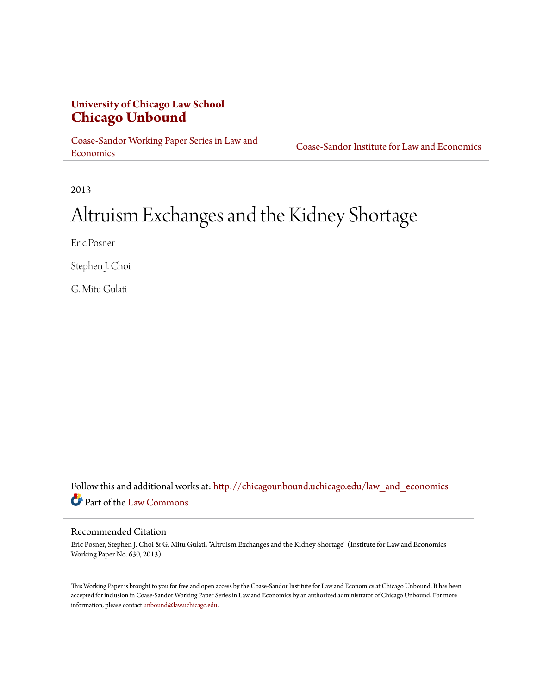## **University of Chicago Law School [Chicago Unbound](http://chicagounbound.uchicago.edu?utm_source=chicagounbound.uchicago.edu%2Flaw_and_economics%2F40&utm_medium=PDF&utm_campaign=PDFCoverPages)**

[Coase-Sandor Working Paper Series in Law and](http://chicagounbound.uchicago.edu/law_and_economics?utm_source=chicagounbound.uchicago.edu%2Flaw_and_economics%2F40&utm_medium=PDF&utm_campaign=PDFCoverPages) [Economics](http://chicagounbound.uchicago.edu/law_and_economics?utm_source=chicagounbound.uchicago.edu%2Flaw_and_economics%2F40&utm_medium=PDF&utm_campaign=PDFCoverPages)

[Coase-Sandor Institute for Law and Economics](http://chicagounbound.uchicago.edu/coase_sandor_institute?utm_source=chicagounbound.uchicago.edu%2Flaw_and_economics%2F40&utm_medium=PDF&utm_campaign=PDFCoverPages)

2013

# Altruism Exchanges and the Kidney Shortage

Eric Posner

Stephen J. Choi

G. Mitu Gulati

Follow this and additional works at: [http://chicagounbound.uchicago.edu/law\\_and\\_economics](http://chicagounbound.uchicago.edu/law_and_economics?utm_source=chicagounbound.uchicago.edu%2Flaw_and_economics%2F40&utm_medium=PDF&utm_campaign=PDFCoverPages) Part of the [Law Commons](http://network.bepress.com/hgg/discipline/578?utm_source=chicagounbound.uchicago.edu%2Flaw_and_economics%2F40&utm_medium=PDF&utm_campaign=PDFCoverPages)

#### Recommended Citation

Eric Posner, Stephen J. Choi & G. Mitu Gulati, "Altruism Exchanges and the Kidney Shortage" (Institute for Law and Economics Working Paper No. 630, 2013).

This Working Paper is brought to you for free and open access by the Coase-Sandor Institute for Law and Economics at Chicago Unbound. It has been accepted for inclusion in Coase-Sandor Working Paper Series in Law and Economics by an authorized administrator of Chicago Unbound. For more information, please contact [unbound@law.uchicago.edu.](mailto:unbound@law.uchicago.edu)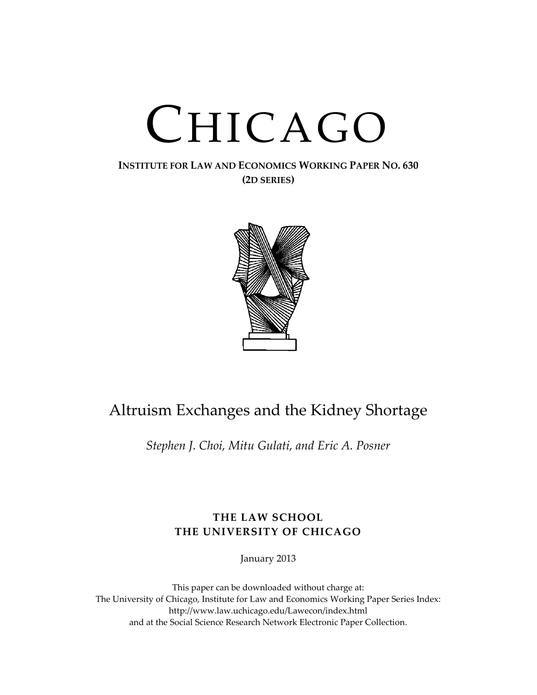# CHICAGO

#### **INSTITUTE FOR LAW AND ECONOMICS WORKING PAPER NO. 630 (2D SERIES)**



# Altruism Exchanges and the Kidney Shortage

*Stephen J. Choi, Mitu Gulati, and Eric A. Posner*

### **THE LAW SCHOOL THE UNIVERSITY OF CHICAGO**

January 2013

This paper can be downloaded without charge at: The University of Chicago, Institute for Law and Economics Working Paper Series Index: http://www.law.uchicago.edu/Lawecon/index.html and at the Social Science Research Network Electronic Paper Collection.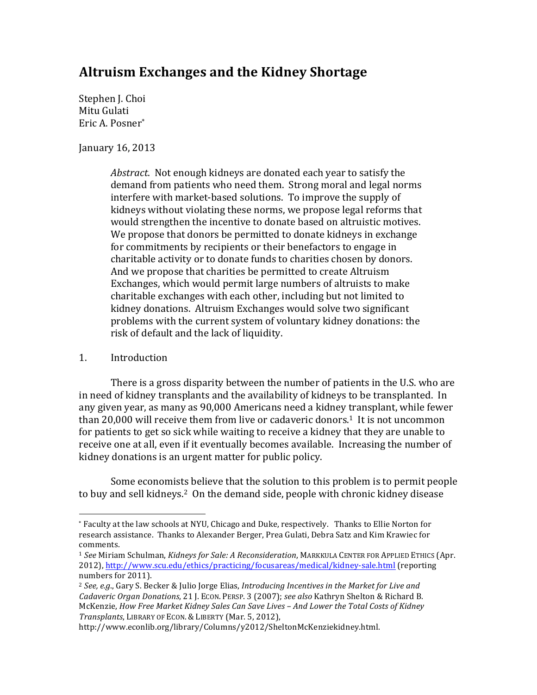## **Altruism Exchanges and the Kidney Shortage**

Stephen J. Choi Mitu Gulati Eric A. Posner\*

January 16, 2013

*Abstract.* Not enough kidneys are donated each year to satisfy the demand from patients who need them. Strong moral and legal norms interfere with market-based solutions. To improve the supply of kidneys without violating these norms, we propose legal reforms that would strengthen the incentive to donate based on altruistic motives. We propose that donors be permitted to donate kidneys in exchange for commitments by recipients or their benefactors to engage in charitable activity or to donate funds to charities chosen by donors. And we propose that charities be permitted to create Altruism Exchanges, which would permit large numbers of altruists to make charitable exchanges with each other, including but not limited to kidney donations. Altruism Exchanges would solve two significant problems with the current system of voluntary kidney donations: the risk of default and the lack of liquidity.

#### 1. Introduction

 

There is a gross disparity between the number of patients in the U.S. who are in need of kidney transplants and the availability of kidneys to be transplanted. In any given year, as many as 90,000 Americans need a kidney transplant, while fewer than 20,000 will receive them from live or cadaveric donors.<sup>1</sup> It is not uncommon for patients to get so sick while waiting to receive a kidney that they are unable to receive one at all, even if it eventually becomes available. Increasing the number of kidney donations is an urgent matter for public policy.

Some economists believe that the solution to this problem is to permit people to buy and sell kidneys.<sup>2</sup> On the demand side, people with chronic kidney disease

<sup>\*</sup> Faculty at the law schools at NYU, Chicago and Duke, respectively. Thanks to Ellie Norton for research assistance. Thanks to Alexander Berger, Prea Gulati, Debra Satz and Kim Krawiec for comments.

<sup>&</sup>lt;sup>1</sup> See Miriam Schulman, *Kidneys for Sale: A Reconsideration*, MARKKULA CENTER FOR APPLIED ETHICS (Apr. 2012), http://www.scu.edu/ethics/practicing/focusareas/medical/kidney-sale.html (reporting numbers for 2011).

<sup>&</sup>lt;sup>2</sup> See, e.g., Gary S. Becker & Julio Jorge Elias, *Introducing Incentives in the Market for Live and* Cadaveric Organ Donations, 21 J. ECON. PERSP. 3 (2007); *see also* Kathryn Shelton & Richard B. McKenzie, *How Free Market Kidney Sales Can Save Lives - And Lower the Total Costs of Kidney Transplants*, LIBRARY OF ECON. & LIBERTY (Mar. 5, 2012),

http://www.econlib.org/library/Columns/y2012/SheltonMcKenziekidney.html.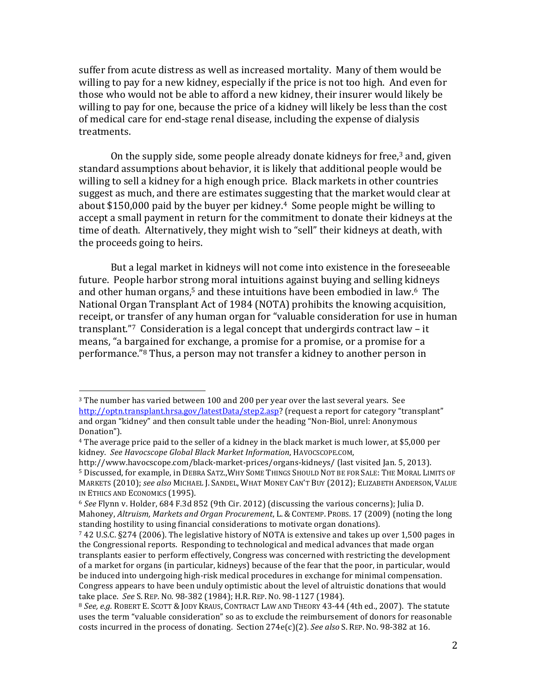suffer from acute distress as well as increased mortality. Many of them would be willing to pay for a new kidney, especially if the price is not too high. And even for those who would not be able to afford a new kidney, their insurer would likely be willing to pay for one, because the price of a kidney will likely be less than the cost of medical care for end-stage renal disease, including the expense of dialysis treatments.

On the supply side, some people already donate kidneys for free, $3$  and, given standard assumptions about behavior, it is likely that additional people would be willing to sell a kidney for a high enough price. Black markets in other countries suggest as much, and there are estimates suggesting that the market would clear at about \$150,000 paid by the buyer per kidney.<sup>4</sup> Some people might be willing to accept a small payment in return for the commitment to donate their kidneys at the time of death. Alternatively, they might wish to "sell" their kidneys at death, with the proceeds going to heirs.

But a legal market in kidneys will not come into existence in the foreseeable future. People harbor strong moral intuitions against buying and selling kidneys and other human organs,<sup>5</sup> and these intuitions have been embodied in law.<sup>6</sup> The National Organ Transplant Act of 1984 (NOTA) prohibits the knowing acquisition, receipt, or transfer of any human organ for "valuable consideration for use in human transplant."<sup>7</sup> Consideration is a legal concept that undergirds contract law  $-$  it means, "a bargained for exchange, a promise for a promise, or a promise for a performance."<sup>8</sup> Thus, a person may not transfer a kidney to another person in

 $3$  The number has varied between 100 and 200 per year over the last several years. See http://optn.transplant.hrsa.gov/latestData/step2.asp? (request a report for category "transplant" and organ "kidney" and then consult table under the heading "Non-Biol, unrel: Anonymous Donation").

 $4$  The average price paid to the seller of a kidney in the black market is much lower, at \$5,000 per kidney. *See Havocscope Global Black Market Information*, HAVOCSCOPE.COM, 

http://www.havocscope.com/black-market-prices/organs-kidneys/ (last visited Jan. 5, 2013). 5 Discussed, for example, in DEBRA SATZ., WHY SOME THINGS SHOULD NOT BE FOR SALE: THE MORAL LIMITS OF MARKETS (2010); see also MICHAEL J. SANDEL, WHAT MONEY CAN'T BUY (2012); ELIZABETH ANDERSON, VALUE IN ETHICS AND ECONOMICS (1995).

<sup>&</sup>lt;sup>6</sup> See Flynn v. Holder, 684 F.3d 852 (9th Cir. 2012) (discussing the various concerns); Julia D. Mahoney, *Altruism, Markets and Organ Procurement*, L. & CONTEMP. PROBS. 17 (2009) (noting the long standing hostility to using financial considerations to motivate organ donations).

<sup>&</sup>lt;sup>7</sup> 42 U.S.C. §274 (2006). The legislative history of NOTA is extensive and takes up over 1,500 pages in the Congressional reports. Responding to technological and medical advances that made organ transplants easier to perform effectively, Congress was concerned with restricting the development of a market for organs (in particular, kidneys) because of the fear that the poor, in particular, would be induced into undergoing high-risk medical procedures in exchange for minimal compensation. Congress appears to have been unduly optimistic about the level of altruistic donations that would take place. See S. REP. No. 98-382 (1984); H.R. REP. No. 98-1127 (1984).

<sup>&</sup>lt;sup>8</sup> See, e.g. ROBERT E. SCOTT & JODY KRAUS, CONTRACT LAW AND THEORY 43-44 (4th ed., 2007). The statute uses the term "valuable consideration" so as to exclude the reimbursement of donors for reasonable costs incurred in the process of donating. Section 274e(c)(2). See also S. REP. No. 98-382 at 16.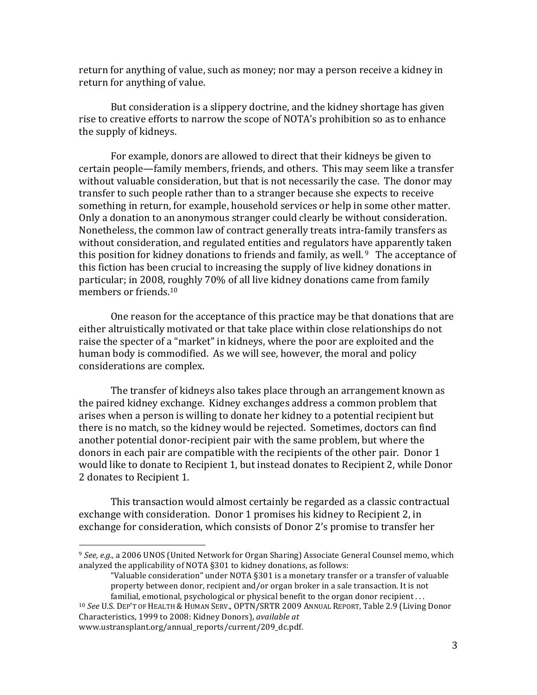return for anything of value, such as money; nor may a person receive a kidney in return for anything of value.

But consideration is a slippery doctrine, and the kidney shortage has given rise to creative efforts to narrow the scope of NOTA's prohibition so as to enhance the supply of kidneys.

For example, donors are allowed to direct that their kidneys be given to certain people—family members, friends, and others. This may seem like a transfer without valuable consideration, but that is not necessarily the case. The donor may transfer to such people rather than to a stranger because she expects to receive something in return, for example, household services or help in some other matter. Only a donation to an anonymous stranger could clearly be without consideration. Nonetheless, the common law of contract generally treats intra-family transfers as without consideration, and regulated entities and regulators have apparently taken this position for kidney donations to friends and family, as well.  $9$  The acceptance of this fiction has been crucial to increasing the supply of live kidney donations in particular; in 2008, roughly 70% of all live kidney donations came from family members or friends.<sup>10</sup>

One reason for the acceptance of this practice may be that donations that are either altruistically motivated or that take place within close relationships do not raise the specter of a "market" in kidneys, where the poor are exploited and the human body is commodified. As we will see, however, the moral and policy considerations are complex.

The transfer of kidneys also takes place through an arrangement known as the paired kidney exchange. Kidney exchanges address a common problem that arises when a person is willing to donate her kidney to a potential recipient but there is no match, so the kidney would be rejected. Sometimes, doctors can find another potential donor-recipient pair with the same problem, but where the donors in each pair are compatible with the recipients of the other pair. Donor 1 would like to donate to Recipient 1, but instead donates to Recipient 2, while Donor 2 donates to Recipient 1.

This transaction would almost certainly be regarded as a classic contractual exchange with consideration. Donor 1 promises his kidney to Recipient 2, in exchange for consideration, which consists of Donor 2's promise to transfer her

<sup>&</sup>lt;sup>9</sup> See, e.g., a 2006 UNOS (United Network for Organ Sharing) Associate General Counsel memo, which analyzed the applicability of NOTA §301 to kidney donations, as follows:

<sup>&</sup>quot;Valuable consideration" under NOTA  $§301$  is a monetary transfer or a transfer of valuable property between donor, recipient and/or organ broker in a sale transaction. It is not familial, emotional, psychological or physical benefit to the organ donor recipient  $\dots$ 

<sup>&</sup>lt;sup>10</sup> See U.S. DEP'T OF HEALTH & HUMAN SERV., OPTN/SRTR 2009 ANNUAL REPORT, Table 2.9 (Living Donor Characteristics, 1999 to 2008: Kidney Donors), *available at* www.ustransplant.org/annual\_reports/current/209\_dc.pdf.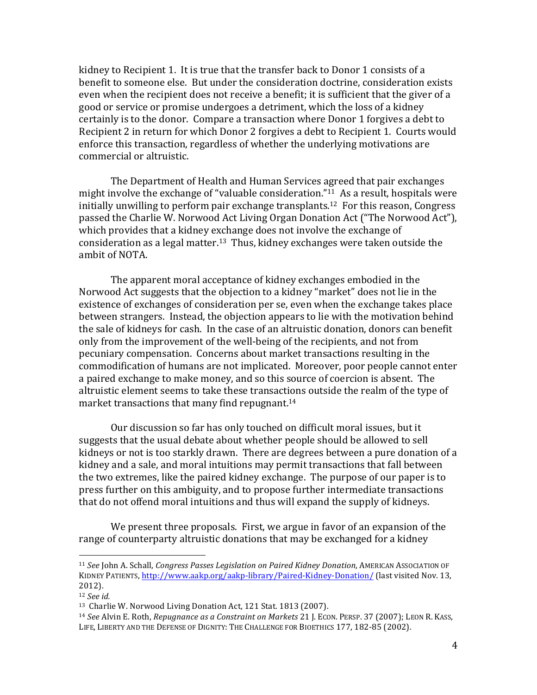kidney to Recipient 1. It is true that the transfer back to Donor 1 consists of a benefit to someone else. But under the consideration doctrine, consideration exists even when the recipient does not receive a benefit; it is sufficient that the giver of a good or service or promise undergoes a detriment, which the loss of a kidney certainly is to the donor. Compare a transaction where Donor 1 forgives a debt to Recipient 2 in return for which Donor 2 forgives a debt to Recipient 1. Courts would enforce this transaction, regardless of whether the underlying motivations are commercial or altruistic.

The Department of Health and Human Services agreed that pair exchanges might involve the exchange of "valuable consideration."<sup>11</sup> As a result, hospitals were initially unwilling to perform pair exchange transplants.<sup>12</sup> For this reason, Congress passed the Charlie W. Norwood Act Living Organ Donation Act ("The Norwood Act"), which provides that a kidney exchange does not involve the exchange of consideration as a legal matter.<sup>13</sup> Thus, kidney exchanges were taken outside the ambit of NOTA.

The apparent moral acceptance of kidney exchanges embodied in the Norwood Act suggests that the objection to a kidney "market" does not lie in the existence of exchanges of consideration per se, even when the exchange takes place between strangers. Instead, the objection appears to lie with the motivation behind the sale of kidneys for cash. In the case of an altruistic donation, donors can benefit only from the improvement of the well-being of the recipients, and not from pecuniary compensation. Concerns about market transactions resulting in the commodification of humans are not implicated. Moreover, poor people cannot enter a paired exchange to make money, and so this source of coercion is absent. The altruistic element seems to take these transactions outside the realm of the type of market transactions that many find repugnant.<sup>14</sup>

Our discussion so far has only touched on difficult moral issues, but it suggests that the usual debate about whether people should be allowed to sell kidneys or not is too starkly drawn. There are degrees between a pure donation of a kidney and a sale, and moral intuitions may permit transactions that fall between the two extremes, like the paired kidney exchange. The purpose of our paper is to press further on this ambiguity, and to propose further intermediate transactions that do not offend moral intuitions and thus will expand the supply of kidneys.

We present three proposals. First, we argue in favor of an expansion of the range of counterparty altruistic donations that may be exchanged for a kidney

<sup>&</sup>lt;sup>11</sup> See John A. Schall, *Congress Passes Legislation on Paired Kidney Donation*, AMERICAN ASSOCIATION OF KIDNEY PATIENTS, http://www.aakp.org/aakp-library/Paired-Kidney-Donation/ (last visited Nov. 13, 2012). 

<sup>12</sup> *See id.*

<sup>&</sup>lt;sup>13</sup> Charlie W. Norwood Living Donation Act, 121 Stat. 1813 (2007).

<sup>&</sup>lt;sup>14</sup> See Alvin E. Roth, *Repugnance as a Constraint on Markets* 21 J. ECON. PERSP. 37 (2007); LEON R. KASS, LIFE, LIBERTY AND THE DEFENSE OF DIGNITY: THE CHALLENGE FOR BIOETHICS 177, 182-85 (2002).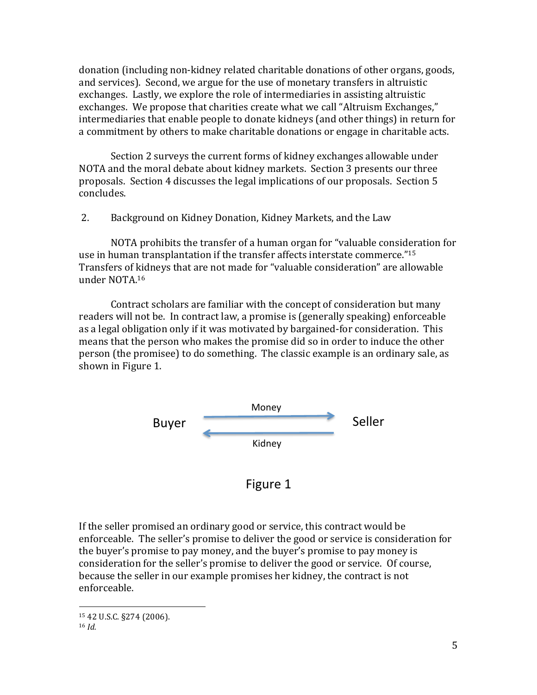donation (including non-kidney related charitable donations of other organs, goods, and services). Second, we argue for the use of monetary transfers in altruistic exchanges. Lastly, we explore the role of intermediaries in assisting altruistic exchanges. We propose that charities create what we call "Altruism Exchanges," intermediaries that enable people to donate kidneys (and other things) in return for a commitment by others to make charitable donations or engage in charitable acts.

Section 2 surveys the current forms of kidney exchanges allowable under NOTA and the moral debate about kidney markets. Section 3 presents our three proposals. Section 4 discusses the legal implications of our proposals. Section 5 concludes.

2. Background on Kidney Donation, Kidney Markets, and the Law

NOTA prohibits the transfer of a human organ for "valuable consideration for use in human transplantation if the transfer affects interstate commerce."<sup>15</sup> Transfers of kidneys that are not made for "valuable consideration" are allowable under NOTA.16

Contract scholars are familiar with the concept of consideration but many readers will not be. In contract law, a promise is (generally speaking) enforceable as a legal obligation only if it was motivated by bargained-for consideration. This means that the person who makes the promise did so in order to induce the other person (the promisee) to do something. The classic example is an ordinary sale, as shown in Figure 1.



Figure 1

If the seller promised an ordinary good or service, this contract would be enforceable. The seller's promise to deliver the good or service is consideration for the buyer's promise to pay money, and the buyer's promise to pay money is consideration for the seller's promise to deliver the good or service. Of course, because the seller in our example promises her kidney, the contract is not enforceable.

 15 42 U.S.C. §274 (2006).

<sup>16</sup> *Id.*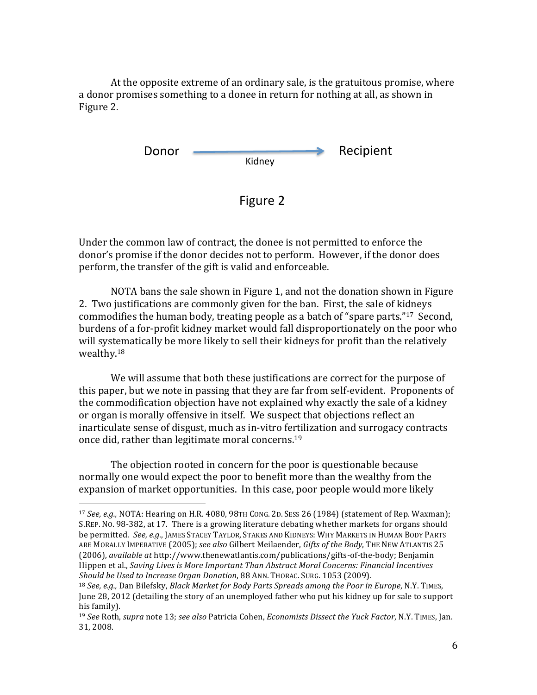At the opposite extreme of an ordinary sale, is the gratuitous promise, where a donor promises something to a donee in return for nothing at all, as shown in Figure 2.



Under the common law of contract, the donee is not permitted to enforce the donor's promise if the donor decides not to perform. However, if the donor does perform, the transfer of the gift is valid and enforceable.

NOTA bans the sale shown in Figure 1, and not the donation shown in Figure 2. Two justifications are commonly given for the ban. First, the sale of kidneys commodifies the human body, treating people as a batch of "spare parts."<sup>17</sup> Second, burdens of a for-profit kidney market would fall disproportionately on the poor who will systematically be more likely to sell their kidneys for profit than the relatively wealthy.18

We will assume that both these justifications are correct for the purpose of this paper, but we note in passing that they are far from self-evident. Proponents of the commodification objection have not explained why exactly the sale of a kidney or organ is morally offensive in itself. We suspect that objections reflect an inarticulate sense of disgust, much as in-vitro fertilization and surrogacy contracts once did, rather than legitimate moral concerns.<sup>19</sup>

The objection rooted in concern for the poor is questionable because normally one would expect the poor to benefit more than the wealthy from the expansion of market opportunities. In this case, poor people would more likely

 $17 \text{ See, e.g., NOTA: Hearing on H.R. } 4080, 98 \text{TH CONG. } 2D. \text{ SESS } 26 (1984) \text{ (statement of Rep. Waxman): }$ S.REP. No. 98-382, at 17. There is a growing literature debating whether markets for organs should be permitted. See, e.g., JAMES STACEY TAYLOR, STAKES AND KIDNEYS: WHY MARKETS IN HUMAN BODY PARTS ARE MORALLY IMPERATIVE (2005); see also Gilbert Meilaender, Gifts of the Body, THE NEW ATLANTIS 25 (2006), *available at* http://www.thenewatlantis.com/publications/gifts-of-the-body; Benjamin Hippen et al., *Saving Lives is More Important Than Abstract Moral Concerns: Financial Incentives Should be Used to Increase Organ Donation*, 88 ANN. THORAC. SURG. 1053 (2009).

<sup>&</sup>lt;sup>18</sup> *See, e.g.,* Dan Bilefsky, *Black Market for Body Parts Spreads among the Poor in Europe*, N.Y. TIMES, June 28, 2012 (detailing the story of an unemployed father who put his kidney up for sale to support his family).

<sup>&</sup>lt;sup>19</sup> See Roth, *supra* note 13; *see also* Patricia Cohen, *Economists Dissect the Yuck Factor*, N.Y. TIMES, Jan. 31, 2008.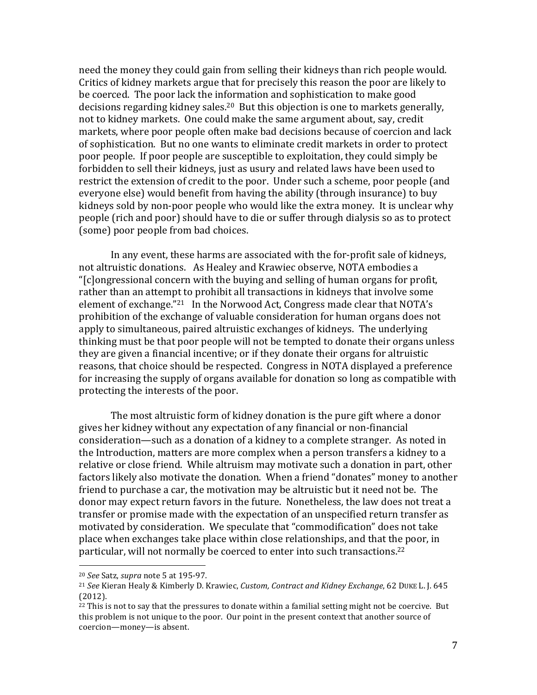need the money they could gain from selling their kidneys than rich people would. Critics of kidney markets argue that for precisely this reason the poor are likely to be coerced. The poor lack the information and sophistication to make good decisions regarding kidney sales.<sup>20</sup> But this objection is one to markets generally, not to kidney markets. One could make the same argument about, say, credit markets, where poor people often make bad decisions because of coercion and lack of sophistication. But no one wants to eliminate credit markets in order to protect poor people. If poor people are susceptible to exploitation, they could simply be forbidden to sell their kidneys, just as usury and related laws have been used to restrict the extension of credit to the poor. Under such a scheme, poor people (and everyone else) would benefit from having the ability (through insurance) to buy kidneys sold by non-poor people who would like the extra money. It is unclear why people (rich and poor) should have to die or suffer through dialysis so as to protect (some) poor people from bad choices.

In any event, these harms are associated with the for-profit sale of kidneys, not altruistic donations. As Healey and Krawiec observe, NOTA embodies a "[c]ongressional concern with the buying and selling of human organs for profit, rather than an attempt to prohibit all transactions in kidneys that involve some element of exchange."<sup>21</sup> In the Norwood Act, Congress made clear that NOTA's prohibition of the exchange of valuable consideration for human organs does not apply to simultaneous, paired altruistic exchanges of kidneys. The underlying thinking must be that poor people will not be tempted to donate their organs unless they are given a financial incentive; or if they donate their organs for altruistic reasons, that choice should be respected. Congress in NOTA displayed a preference for increasing the supply of organs available for donation so long as compatible with protecting the interests of the poor.

The most altruistic form of kidney donation is the pure gift where a donor gives her kidney without any expectation of any financial or non-financial consideration—such as a donation of a kidney to a complete stranger. As noted in the Introduction, matters are more complex when a person transfers a kidney to a relative or close friend. While altruism may motivate such a donation in part, other factors likely also motivate the donation. When a friend "donates" money to another friend to purchase a car, the motivation may be altruistic but it need not be. The donor may expect return favors in the future. Nonetheless, the law does not treat a transfer or promise made with the expectation of an unspecified return transfer as motivated by consideration. We speculate that "commodification" does not take place when exchanges take place within close relationships, and that the poor, in particular, will not normally be coerced to enter into such transactions.<sup>22</sup>

 <sup>20</sup> *See* Satz, *supra* note 5 at 195-97. 

<sup>&</sup>lt;sup>21</sup> *See* Kieran Healy & Kimberly D. Krawiec, *Custom, Contract and Kidney Exchange*, 62 DUKE L. J. 645 (2012).

 $^{22}$  This is not to say that the pressures to donate within a familial setting might not be coercive. But this problem is not unique to the poor. Our point in the present context that another source of coercion—money—is absent.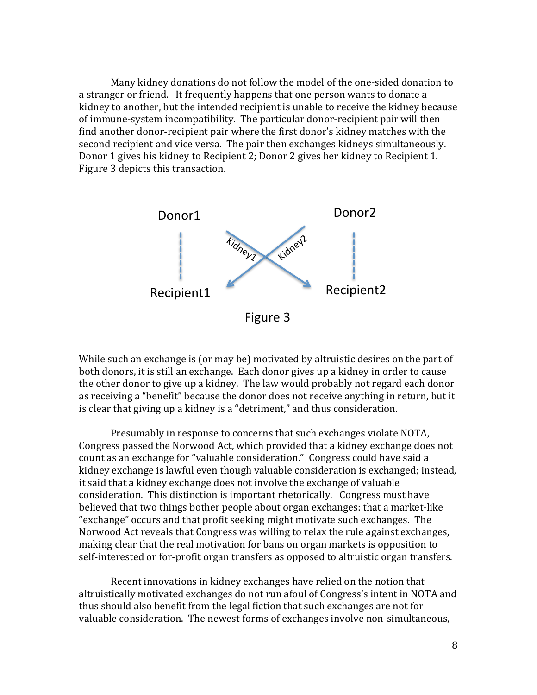Many kidney donations do not follow the model of the one-sided donation to a stranger or friend. It frequently happens that one person wants to donate a kidney to another, but the intended recipient is unable to receive the kidney because of immune-system incompatibility. The particular donor-recipient pair will then find another donor-recipient pair where the first donor's kidney matches with the second recipient and vice versa. The pair then exchanges kidneys simultaneously. Donor 1 gives his kidney to Recipient 2; Donor 2 gives her kidney to Recipient 1. Figure 3 depicts this transaction.



While such an exchange is (or may be) motivated by altruistic desires on the part of both donors, it is still an exchange. Each donor gives up a kidney in order to cause the other donor to give up a kidney. The law would probably not regard each donor as receiving a "benefit" because the donor does not receive anything in return, but it is clear that giving up a kidney is a "detriment," and thus consideration.

Presumably in response to concerns that such exchanges violate NOTA, Congress passed the Norwood Act, which provided that a kidney exchange does not count as an exchange for "valuable consideration." Congress could have said a kidney exchange is lawful even though valuable consideration is exchanged; instead, it said that a kidney exchange does not involve the exchange of valuable consideration. This distinction is important rhetorically. Congress must have believed that two things bother people about organ exchanges: that a market-like "exchange" occurs and that profit seeking might motivate such exchanges. The Norwood Act reveals that Congress was willing to relax the rule against exchanges, making clear that the real motivation for bans on organ markets is opposition to self-interested or for-profit organ transfers as opposed to altruistic organ transfers.

Recent innovations in kidney exchanges have relied on the notion that altruistically motivated exchanges do not run afoul of Congress's intent in NOTA and thus should also benefit from the legal fiction that such exchanges are not for valuable consideration. The newest forms of exchanges involve non-simultaneous,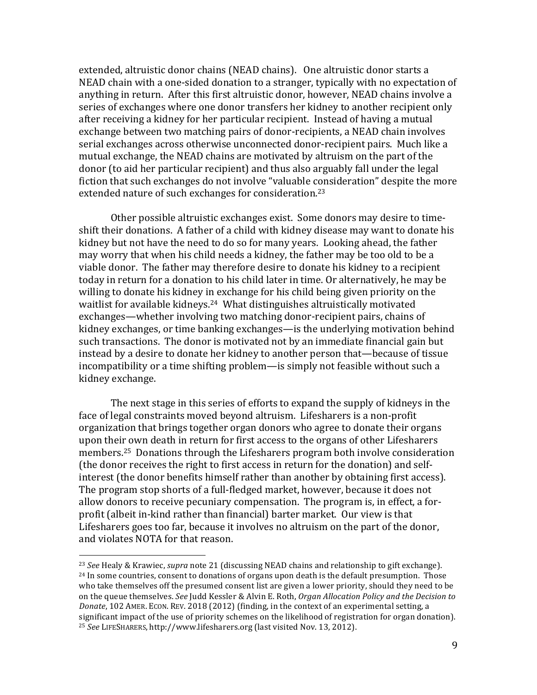extended, altruistic donor chains (NEAD chains). One altruistic donor starts a NEAD chain with a one-sided donation to a stranger, typically with no expectation of anything in return. After this first altruistic donor, however, NEAD chains involve a series of exchanges where one donor transfers her kidney to another recipient only after receiving a kidney for her particular recipient. Instead of having a mutual exchange between two matching pairs of donor-recipients, a NEAD chain involves serial exchanges across otherwise unconnected donor-recipient pairs. Much like a mutual exchange, the NEAD chains are motivated by altruism on the part of the donor (to aid her particular recipient) and thus also arguably fall under the legal fiction that such exchanges do not involve "valuable consideration" despite the more extended nature of such exchanges for consideration.<sup>23</sup>

Other possible altruistic exchanges exist. Some donors may desire to timeshift their donations. A father of a child with kidney disease may want to donate his kidney but not have the need to do so for many vears. Looking ahead, the father may worry that when his child needs a kidney, the father may be too old to be a viable donor. The father may therefore desire to donate his kidney to a recipient today in return for a donation to his child later in time. Or alternatively, he may be willing to donate his kidney in exchange for his child being given priority on the waitlist for available kidneys.<sup>24</sup> What distinguishes altruistically motivated exchanges—whether involving two matching donor-recipient pairs, chains of kidney exchanges, or time banking exchanges—is the underlying motivation behind such transactions. The donor is motivated not by an immediate financial gain but instead by a desire to donate her kidney to another person that—because of tissue incompatibility or a time shifting problem—is simply not feasible without such a kidney exchange.

The next stage in this series of efforts to expand the supply of kidneys in the face of legal constraints moved beyond altruism. Lifesharers is a non-profit organization that brings together organ donors who agree to donate their organs upon their own death in return for first access to the organs of other Lifesharers members.<sup>25</sup> Donations through the Lifesharers program both involve consideration (the donor receives the right to first access in return for the donation) and selfinterest (the donor benefits himself rather than another by obtaining first access). The program stop shorts of a full-fledged market, however, because it does not allow donors to receive pecuniary compensation. The program is, in effect, a forprofit (albeit in-kind rather than financial) barter market. Our view is that Lifesharers goes too far, because it involves no altruism on the part of the donor, and violates NOTA for that reason.

<sup>&</sup>lt;sup>23</sup> *See* Healy & Krawiec, *supra* note 21 (discussing NEAD chains and relationship to gift exchange).  $24$  In some countries, consent to donations of organs upon death is the default presumption. Those who take themselves off the presumed consent list are given a lower priority, should they need to be on the queue themselves. See Judd Kessler & Alvin E. Roth, *Organ Allocation Policy and the Decision to Donate*, 102 AMER. ECON. REV. 2018 (2012) (finding, in the context of an experimental setting, a significant impact of the use of priority schemes on the likelihood of registration for organ donation). <sup>25</sup> *See* LIFESHARERS, http://www.lifesharers.org (last visited Nov. 13, 2012).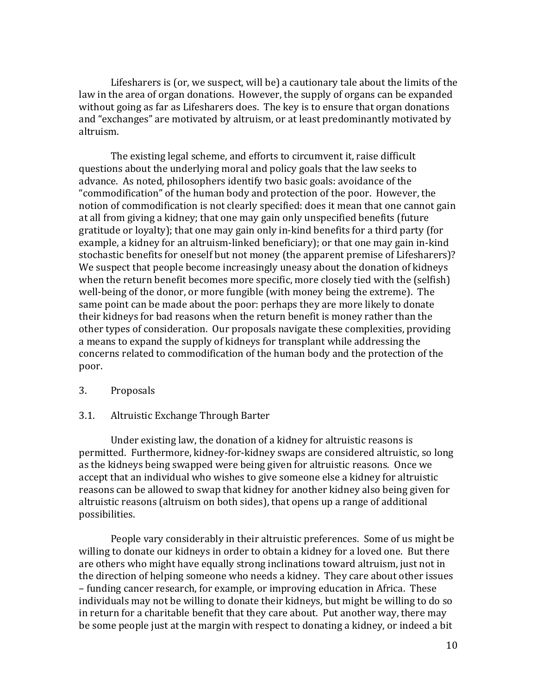Lifesharers is (or, we suspect, will be) a cautionary tale about the limits of the law in the area of organ donations. However, the supply of organs can be expanded without going as far as Lifesharers does. The key is to ensure that organ donations and "exchanges" are motivated by altruism, or at least predominantly motivated by altruism.

The existing legal scheme, and efforts to circumvent it, raise difficult questions about the underlying moral and policy goals that the law seeks to advance. As noted, philosophers identify two basic goals: avoidance of the "commodification" of the human body and protection of the poor. However, the notion of commodification is not clearly specified: does it mean that one cannot gain at all from giving a kidney; that one may gain only unspecified benefits (future gratitude or loyalty); that one may gain only in-kind benefits for a third party (for example, a kidney for an altruism-linked beneficiary); or that one may gain in-kind stochastic benefits for oneself but not money (the apparent premise of Lifesharers)? We suspect that people become increasingly uneasy about the donation of kidneys when the return benefit becomes more specific, more closely tied with the (selfish) well-being of the donor, or more fungible (with money being the extreme). The same point can be made about the poor: perhaps they are more likely to donate their kidneys for bad reasons when the return benefit is money rather than the other types of consideration. Our proposals navigate these complexities, providing a means to expand the supply of kidneys for transplant while addressing the concerns related to commodification of the human body and the protection of the poor.

#### 3. Proposals

#### 3.1. Altruistic Exchange Through Barter

Under existing law, the donation of a kidney for altruistic reasons is permitted. Furthermore, kidney-for-kidney swaps are considered altruistic, so long as the kidneys being swapped were being given for altruistic reasons. Once we accept that an individual who wishes to give someone else a kidney for altruistic reasons can be allowed to swap that kidney for another kidney also being given for altruistic reasons (altruism on both sides), that opens up a range of additional possibilities.

People vary considerably in their altruistic preferences. Some of us might be willing to donate our kidneys in order to obtain a kidney for a loved one. But there are others who might have equally strong inclinations toward altruism, just not in the direction of helping someone who needs a kidney. They care about other issues – funding cancer research, for example, or improving education in Africa. These individuals may not be willing to donate their kidneys, but might be willing to do so in return for a charitable benefit that they care about. Put another way, there may be some people just at the margin with respect to donating a kidney, or indeed a bit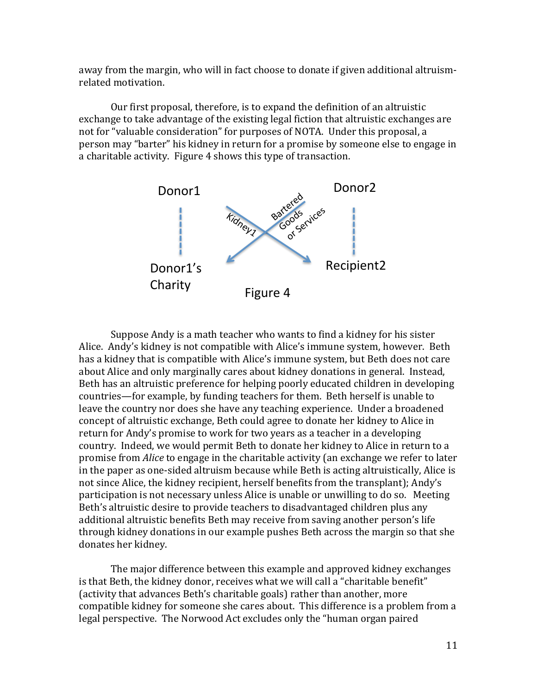away from the margin, who will in fact choose to donate if given additional altruismrelated motivation.

Our first proposal, therefore, is to expand the definition of an altruistic exchange to take advantage of the existing legal fiction that altruistic exchanges are not for "valuable consideration" for purposes of NOTA. Under this proposal, a person may "barter" his kidney in return for a promise by someone else to engage in a charitable activity. Figure 4 shows this type of transaction.



Suppose Andy is a math teacher who wants to find a kidney for his sister Alice. Andy's kidney is not compatible with Alice's immune system, however. Beth has a kidney that is compatible with Alice's immune system, but Beth does not care about Alice and only marginally cares about kidney donations in general. Instead, Beth has an altruistic preference for helping poorly educated children in developing countries—for example, by funding teachers for them. Beth herself is unable to leave the country nor does she have any teaching experience. Under a broadened concept of altruistic exchange, Beth could agree to donate her kidney to Alice in return for Andy's promise to work for two years as a teacher in a developing country. Indeed, we would permit Beth to donate her kidney to Alice in return to a promise from *Alice* to engage in the charitable activity (an exchange we refer to later in the paper as one-sided altruism because while Beth is acting altruistically, Alice is not since Alice, the kidney recipient, herself benefits from the transplant); Andy's participation is not necessary unless Alice is unable or unwilling to do so. Meeting Beth's altruistic desire to provide teachers to disadvantaged children plus any additional altruistic benefits Beth may receive from saving another person's life through kidney donations in our example pushes Beth across the margin so that she donates her kidney.

The major difference between this example and approved kidney exchanges is that Beth, the kidney donor, receives what we will call a "charitable benefit" (activity that advances Beth's charitable goals) rather than another, more compatible kidney for someone she cares about. This difference is a problem from a legal perspective. The Norwood Act excludes only the "human organ paired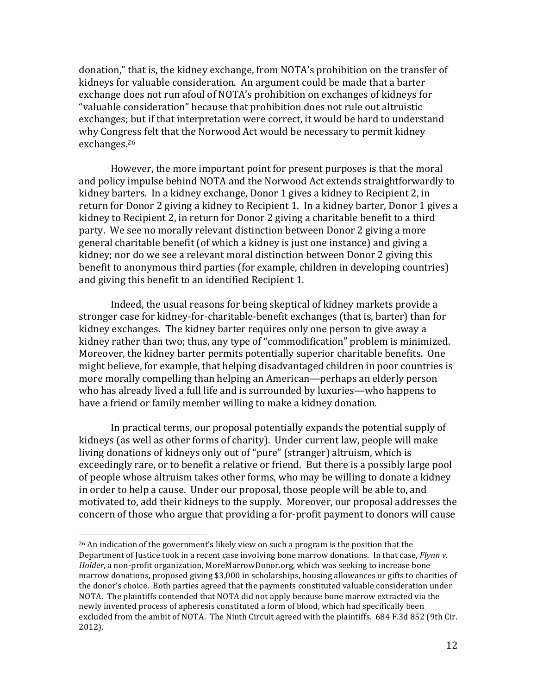donation," that is, the kidney exchange, from NOTA's prohibition on the transfer of kidneys for valuable consideration. An argument could be made that a barter exchange does not run afoul of NOTA's prohibition on exchanges of kidneys for "valuable consideration" because that prohibition does not rule out altruistic exchanges; but if that interpretation were correct, it would be hard to understand why Congress felt that the Norwood Act would be necessary to permit kidney exchanges.26

However, the more important point for present purposes is that the moral and policy impulse behind NOTA and the Norwood Act extends straightforwardly to kidney barters. In a kidney exchange, Donor 1 gives a kidney to Recipient 2, in return for Donor 2 giving a kidney to Recipient 1. In a kidney barter, Donor 1 gives a kidney to Recipient 2, in return for Donor 2 giving a charitable benefit to a third party. We see no morally relevant distinction between Donor 2 giving a more general charitable benefit (of which a kidney is just one instance) and giving a kidney; nor do we see a relevant moral distinction between Donor 2 giving this benefit to anonymous third parties (for example, children in developing countries) and giving this benefit to an identified Recipient 1.

Indeed, the usual reasons for being skeptical of kidney markets provide a stronger case for kidney-for-charitable-benefit exchanges (that is, barter) than for kidney exchanges. The kidney barter requires only one person to give away a kidney rather than two; thus, any type of "commodification" problem is minimized. Moreover, the kidney barter permits potentially superior charitable benefits. One might believe, for example, that helping disadvantaged children in poor countries is more morally compelling than helping an American—perhaps an elderly person who has already lived a full life and is surrounded by luxuries—who happens to have a friend or family member willing to make a kidney donation.

In practical terms, our proposal potentially expands the potential supply of kidneys (as well as other forms of charity). Under current law, people will make living donations of kidneys only out of "pure" (stranger) altruism, which is exceedingly rare, or to benefit a relative or friend. But there is a possibly large pool of people whose altruism takes other forms, who may be willing to donate a kidney in order to help a cause. Under our proposal, those people will be able to, and motivated to, add their kidneys to the supply. Moreover, our proposal addresses the concern of those who argue that providing a for-profit payment to donors will cause

 $26$  An indication of the government's likely view on such a program is the position that the Department of Justice took in a recent case involving bone marrow donations. In that case, *Flynn v. Holder*, a non-profit organization, MoreMarrowDonor.org, which was seeking to increase bone marrow donations, proposed giving \$3,000 in scholarships, housing allowances or gifts to charities of the donor's choice. Both parties agreed that the payments constituted valuable consideration under NOTA. The plaintiffs contended that NOTA did not apply because bone marrow extracted via the newly invented process of apheresis constituted a form of blood, which had specifically been excluded from the ambit of NOTA. The Ninth Circuit agreed with the plaintiffs. 684 F.3d 852 (9th Cir. 2012).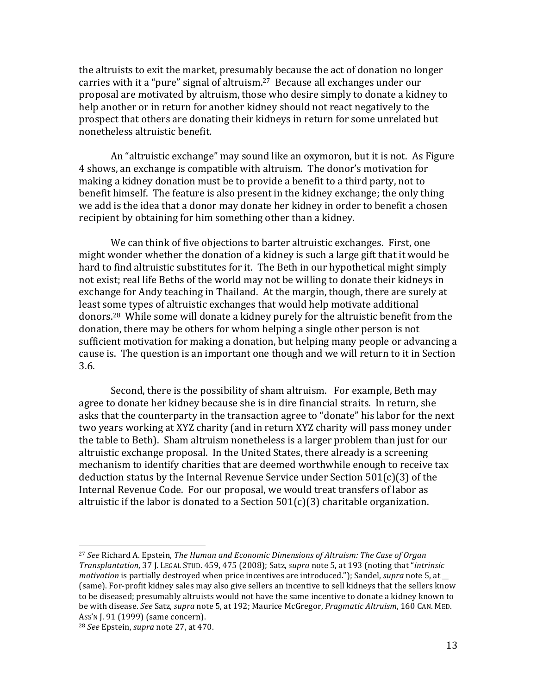the altruists to exit the market, presumably because the act of donation no longer carries with it a "pure" signal of altruism.<sup>27</sup> Because all exchanges under our proposal are motivated by altruism, those who desire simply to donate a kidney to help another or in return for another kidney should not react negatively to the prospect that others are donating their kidneys in return for some unrelated but nonetheless altruistic benefit.

An "altruistic exchange" may sound like an oxymoron, but it is not. As Figure 4 shows, an exchange is compatible with altruism. The donor's motivation for making a kidney donation must be to provide a benefit to a third party, not to benefit himself. The feature is also present in the kidney exchange; the only thing we add is the idea that a donor may donate her kidney in order to benefit a chosen recipient by obtaining for him something other than a kidney.

We can think of five objections to barter altruistic exchanges. First, one might wonder whether the donation of a kidney is such a large gift that it would be hard to find altruistic substitutes for it. The Beth in our hypothetical might simply not exist; real life Beths of the world may not be willing to donate their kidneys in exchange for Andy teaching in Thailand. At the margin, though, there are surely at least some types of altruistic exchanges that would help motivate additional donors.<sup>28</sup> While some will donate a kidney purely for the altruistic benefit from the donation, there may be others for whom helping a single other person is not sufficient motivation for making a donation, but helping many people or advancing a cause is. The question is an important one though and we will return to it in Section 3.6.

Second, there is the possibility of sham altruism. For example, Beth may agree to donate her kidney because she is in dire financial straits. In return, she asks that the counterparty in the transaction agree to "donate" his labor for the next two years working at XYZ charity (and in return XYZ charity will pass money under the table to Beth). Sham altruism nonetheless is a larger problem than just for our altruistic exchange proposal. In the United States, there already is a screening mechanism to identify charities that are deemed worthwhile enough to receive tax deduction status by the Internal Revenue Service under Section  $501(c)(3)$  of the Internal Revenue Code. For our proposal, we would treat transfers of labor as altruistic if the labor is donated to a Section  $501(c)(3)$  charitable organization.

<sup>&</sup>lt;sup>27</sup> See Richard A. Epstein, *The Human and Economic Dimensions of Altruism: The Case of Organ Transplantation,* 37 J. LEGAL STUD. 459, 475 (2008); Satz, *supra* note 5, at 193 (noting that "*intrinsic motivation* is partially destroyed when price incentives are introduced."); Sandel, *supra* note 5, at (same). For-profit kidney sales may also give sellers an incentive to sell kidneys that the sellers know to be diseased; presumably altruists would not have the same incentive to donate a kidney known to be with disease. See Satz, *supra* note 5, at 192; Maurice McGregor, *Pragmatic Altruism*, 160 CAN. MED. Ass'n [. 91 (1999) (same concern).

<sup>&</sup>lt;sup>28</sup> *See* Epstein, *supra* note 27, at 470.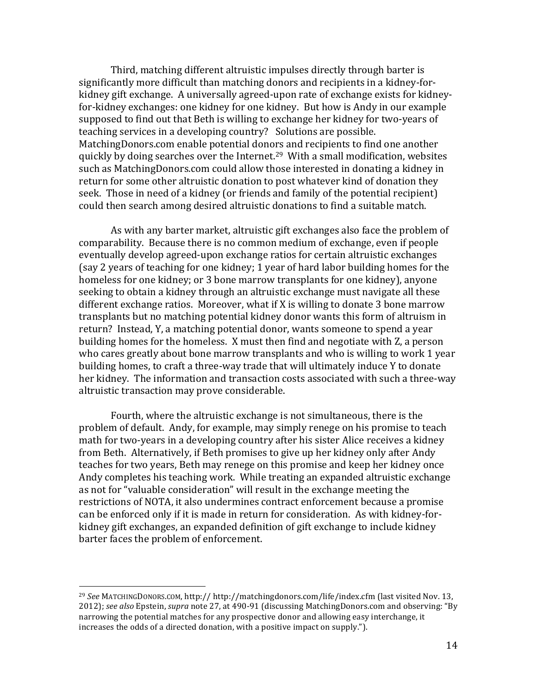Third, matching different altruistic impulses directly through barter is significantly more difficult than matching donors and recipients in a kidney-forkidney gift exchange. A universally agreed-upon rate of exchange exists for kidneyfor-kidney exchanges: one kidney for one kidney. But how is Andy in our example supposed to find out that Beth is willing to exchange her kidney for two-years of teaching services in a developing country? Solutions are possible. MatchingDonors.com enable potential donors and recipients to find one another quickly by doing searches over the Internet.<sup>29</sup> With a small modification, websites such as MatchingDonors.com could allow those interested in donating a kidney in return for some other altruistic donation to post whatever kind of donation they seek. Those in need of a kidney (or friends and family of the potential recipient) could then search among desired altruistic donations to find a suitable match.

As with any barter market, altruistic gift exchanges also face the problem of comparability. Because there is no common medium of exchange, even if people eventually develop agreed-upon exchange ratios for certain altruistic exchanges (say 2 years of teaching for one kidney; 1 year of hard labor building homes for the homeless for one kidney; or 3 bone marrow transplants for one kidney), anyone seeking to obtain a kidney through an altruistic exchange must navigate all these different exchange ratios. Moreover, what if  $X$  is willing to donate 3 bone marrow transplants but no matching potential kidney donor wants this form of altruism in return? Instead, Y, a matching potential donor, wants someone to spend a year building homes for the homeless. X must then find and negotiate with Z, a person who cares greatly about bone marrow transplants and who is willing to work 1 year building homes, to craft a three-way trade that will ultimately induce Y to donate her kidney. The information and transaction costs associated with such a three-way altruistic transaction may prove considerable.

Fourth, where the altruistic exchange is not simultaneous, there is the problem of default. Andy, for example, may simply renege on his promise to teach math for two-years in a developing country after his sister Alice receives a kidney from Beth. Alternatively, if Beth promises to give up her kidney only after Andy teaches for two years, Beth may renege on this promise and keep her kidney once Andy completes his teaching work. While treating an expanded altruistic exchange as not for "valuable consideration" will result in the exchange meeting the restrictions of NOTA, it also undermines contract enforcement because a promise can be enforced only if it is made in return for consideration. As with kidney-forkidney gift exchanges, an expanded definition of gift exchange to include kidney barter faces the problem of enforcement.

<sup>&</sup>lt;sup>29</sup> See MATCHINGDONORS.COM, http:// http://matchingdonors.com/life/index.cfm (last visited Nov. 13, 2012); *see also* Epstein, *supra* note 27, at 490-91 (discussing MatchingDonors.com and observing: "By narrowing the potential matches for any prospective donor and allowing easy interchange, it increases the odds of a directed donation, with a positive impact on supply.").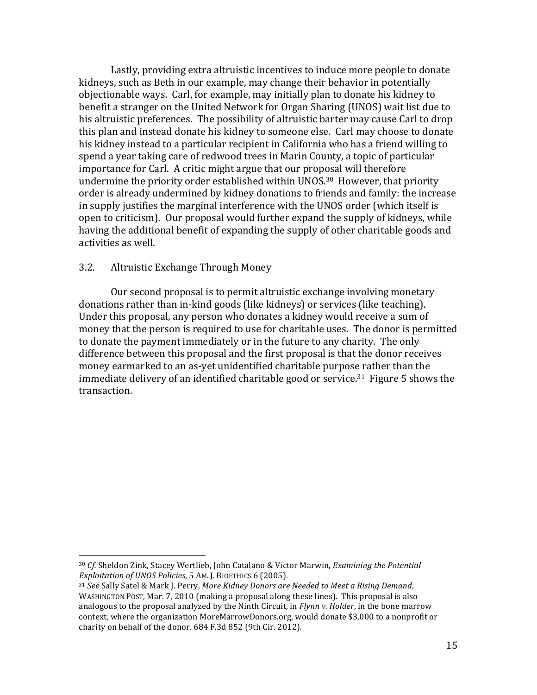Lastly, providing extra altruistic incentives to induce more people to donate kidneys, such as Beth in our example, may change their behavior in potentially objectionable ways. Carl, for example, may initially plan to donate his kidney to benefit a stranger on the United Network for Organ Sharing (UNOS) wait list due to his altruistic preferences. The possibility of altruistic barter may cause Carl to drop this plan and instead donate his kidney to someone else. Carl may choose to donate his kidney instead to a particular recipient in California who has a friend willing to spend a year taking care of redwood trees in Marin County, a topic of particular importance for Carl. A critic might argue that our proposal will therefore undermine the priority order established within UNOS.<sup>30</sup> However, that priority order is already undermined by kidney donations to friends and family: the increase in supply justifies the marginal interference with the UNOS order (which itself is open to criticism). Our proposal would further expand the supply of kidneys, while having the additional benefit of expanding the supply of other charitable goods and activities as well.

#### 3.2. Altruistic Exchange Through Money

 

Our second proposal is to permit altruistic exchange involving monetary donations rather than in-kind goods (like kidneys) or services (like teaching). Under this proposal, any person who donates a kidney would receive a sum of money that the person is required to use for charitable uses. The donor is permitted to donate the payment immediately or in the future to any charity. The only difference between this proposal and the first proposal is that the donor receives money earmarked to an as-yet unidentified charitable purpose rather than the immediate delivery of an identified charitable good or service.<sup>31</sup> Figure 5 shows the transaction.

<sup>&</sup>lt;sup>30</sup> *Cf.* Sheldon Zink, Stacey Wertlieb, John Catalano & Victor Marwin, *Examining the Potential Exploitation of UNOS Policies*, 5 AM. J. BIOETHICS 6 (2005).

<sup>&</sup>lt;sup>31</sup> *See* Sally Satel & Mark J. Perry, *More Kidney Donors are Needed to Meet a Rising Demand,* WASHINGTON POST, Mar. 7, 2010 (making a proposal along these lines). This proposal is also analogous to the proposal analyzed by the Ninth Circuit, in *Flynn v. Holder*, in the bone marrow context, where the organization MoreMarrowDonors.org, would donate \$3,000 to a nonprofit or charity on behalf of the donor. 684 F.3d 852 (9th Cir. 2012).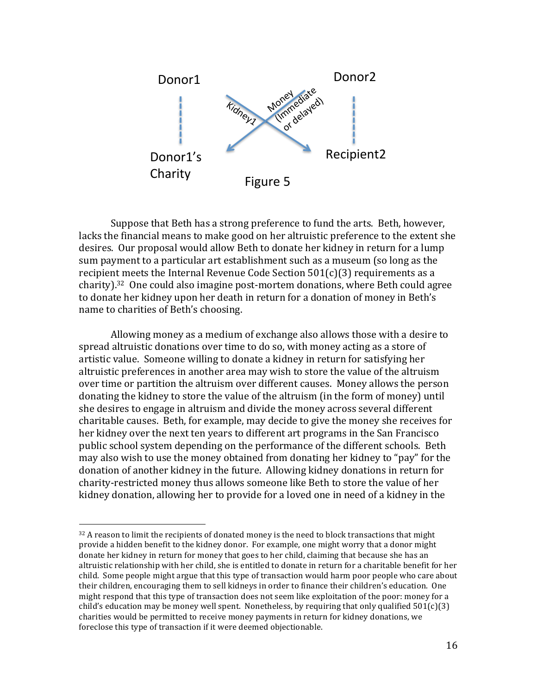

Suppose that Beth has a strong preference to fund the arts. Beth, however, lacks the financial means to make good on her altruistic preference to the extent she desires. Our proposal would allow Beth to donate her kidney in return for a lump sum payment to a particular art establishment such as a museum (so long as the recipient meets the Internal Revenue Code Section  $501(c)(3)$  requirements as a charity).<sup>32</sup> One could also imagine post-mortem donations, where Beth could agree to donate her kidney upon her death in return for a donation of money in Beth's name to charities of Beth's choosing.

Allowing money as a medium of exchange also allows those with a desire to spread altruistic donations over time to do so, with money acting as a store of artistic value. Someone willing to donate a kidney in return for satisfying her altruistic preferences in another area may wish to store the value of the altruism over time or partition the altruism over different causes. Money allows the person donating the kidney to store the value of the altruism (in the form of money) until she desires to engage in altruism and divide the money across several different charitable causes. Beth, for example, may decide to give the money she receives for her kidney over the next ten years to different art programs in the San Francisco public school system depending on the performance of the different schools. Beth may also wish to use the money obtained from donating her kidney to "pay" for the donation of another kidney in the future. Allowing kidney donations in return for charity-restricted money thus allows someone like Beth to store the value of her kidney donation, allowing her to provide for a loved one in need of a kidney in the

 $32$  A reason to limit the recipients of donated money is the need to block transactions that might provide a hidden benefit to the kidney donor. For example, one might worry that a donor might donate her kidney in return for money that goes to her child, claiming that because she has an altruistic relationship with her child, she is entitled to donate in return for a charitable benefit for her child. Some people might argue that this type of transaction would harm poor people who care about their children, encouraging them to sell kidneys in order to finance their children's education. One might respond that this type of transaction does not seem like exploitation of the poor: money for a child's education may be money well spent. Nonetheless, by requiring that only qualified  $501(c)(3)$ charities would be permitted to receive money payments in return for kidney donations, we foreclose this type of transaction if it were deemed objectionable.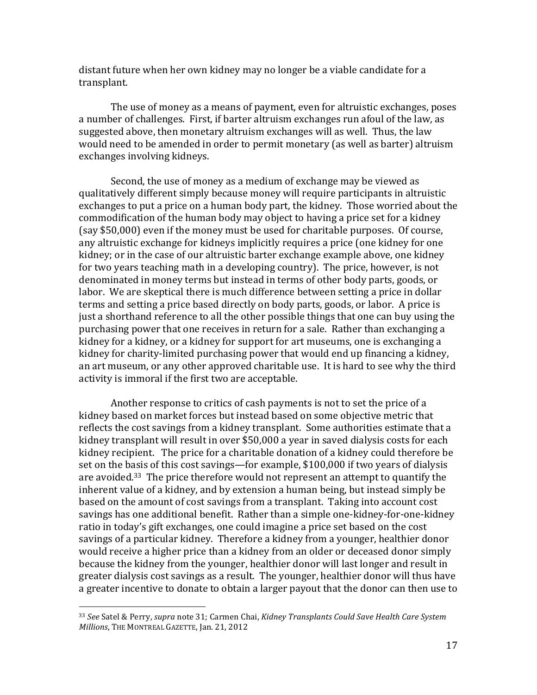distant future when her own kidney may no longer be a viable candidate for a transplant. 

The use of money as a means of payment, even for altruistic exchanges, poses a number of challenges. First, if barter altruism exchanges run afoul of the law, as suggested above, then monetary altruism exchanges will as well. Thus, the law would need to be amended in order to permit monetary (as well as barter) altruism exchanges involving kidneys.

Second, the use of money as a medium of exchange may be viewed as qualitatively different simply because money will require participants in altruistic exchanges to put a price on a human body part, the kidney. Those worried about the commodification of the human body may object to having a price set for a kidney (say \$50,000) even if the money must be used for charitable purposes. Of course, any altruistic exchange for kidneys implicitly requires a price (one kidney for one kidney; or in the case of our altruistic barter exchange example above, one kidney for two years teaching math in a developing country). The price, however, is not denominated in money terms but instead in terms of other body parts, goods, or labor. We are skeptical there is much difference between setting a price in dollar terms and setting a price based directly on body parts, goods, or labor. A price is just a shorthand reference to all the other possible things that one can buy using the purchasing power that one receives in return for a sale. Rather than exchanging a kidney for a kidney, or a kidney for support for art museums, one is exchanging a kidney for charity-limited purchasing power that would end up financing a kidney, an art museum, or any other approved charitable use. It is hard to see why the third activity is immoral if the first two are acceptable.

Another response to critics of cash payments is not to set the price of a kidney based on market forces but instead based on some objective metric that reflects the cost savings from a kidney transplant. Some authorities estimate that a kidney transplant will result in over \$50,000 a year in saved dialysis costs for each kidney recipient. The price for a charitable donation of a kidney could therefore be set on the basis of this cost savings—for example,  $$100,000$  if two years of dialysis are avoided.<sup>33</sup> The price therefore would not represent an attempt to quantify the inherent value of a kidney, and by extension a human being, but instead simply be based on the amount of cost savings from a transplant. Taking into account cost savings has one additional benefit. Rather than a simple one-kidney-for-one-kidney ratio in today's gift exchanges, one could imagine a price set based on the cost savings of a particular kidney. Therefore a kidney from a younger, healthier donor would receive a higher price than a kidney from an older or deceased donor simply because the kidney from the younger, healthier donor will last longer and result in greater dialysis cost savings as a result. The younger, healthier donor will thus have a greater incentive to donate to obtain a larger payout that the donor can then use to

<sup>&</sup>lt;sup>33</sup> See Satel & Perry, *supra* note 31; Carmen Chai, *Kidney Transplants Could Save Health Care System Millions*, THE MONTREAL GAZETTE, Jan. 21, 2012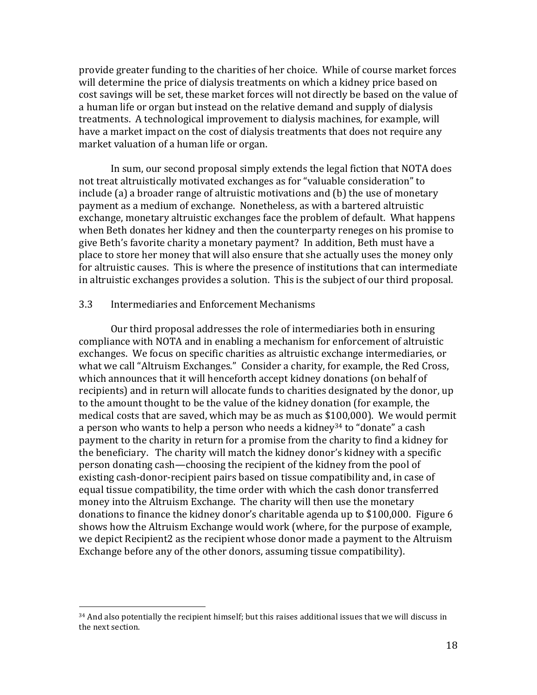provide greater funding to the charities of her choice. While of course market forces will determine the price of dialysis treatments on which a kidney price based on cost savings will be set, these market forces will not directly be based on the value of a human life or organ but instead on the relative demand and supply of dialysis treatments. A technological improvement to dialysis machines, for example, will have a market impact on the cost of dialysis treatments that does not require any market valuation of a human life or organ.

In sum, our second proposal simply extends the legal fiction that NOTA does not treat altruistically motivated exchanges as for "valuable consideration" to include  $(a)$  a broader range of altruistic motivations and  $(b)$  the use of monetary payment as a medium of exchange. Nonetheless, as with a bartered altruistic exchange, monetary altruistic exchanges face the problem of default. What happens when Beth donates her kidney and then the counterparty reneges on his promise to give Beth's favorite charity a monetary payment? In addition, Beth must have a place to store her money that will also ensure that she actually uses the money only for altruistic causes. This is where the presence of institutions that can intermediate in altruistic exchanges provides a solution. This is the subject of our third proposal.

#### 3.3 Intermediaries and Enforcement Mechanisms

 

Our third proposal addresses the role of intermediaries both in ensuring compliance with NOTA and in enabling a mechanism for enforcement of altruistic exchanges. We focus on specific charities as altruistic exchange intermediaries, or what we call "Altruism Exchanges." Consider a charity, for example, the Red Cross, which announces that it will henceforth accept kidney donations (on behalf of recipients) and in return will allocate funds to charities designated by the donor, up to the amount thought to be the value of the kidney donation (for example, the medical costs that are saved, which may be as much as \$100,000). We would permit a person who wants to help a person who needs a kidney<sup>34</sup> to "donate" a cash payment to the charity in return for a promise from the charity to find a kidney for the beneficiary. The charity will match the kidney donor's kidney with a specific person donating cash—choosing the recipient of the kidney from the pool of existing cash-donor-recipient pairs based on tissue compatibility and, in case of equal tissue compatibility, the time order with which the cash donor transferred money into the Altruism Exchange. The charity will then use the monetary donations to finance the kidney donor's charitable agenda up to  $$100,000$ . Figure 6 shows how the Altruism Exchange would work (where, for the purpose of example, we depict Recipient2 as the recipient whose donor made a payment to the Altruism Exchange before any of the other donors, assuming tissue compatibility).

 $34$  And also potentially the recipient himself; but this raises additional issues that we will discuss in the next section.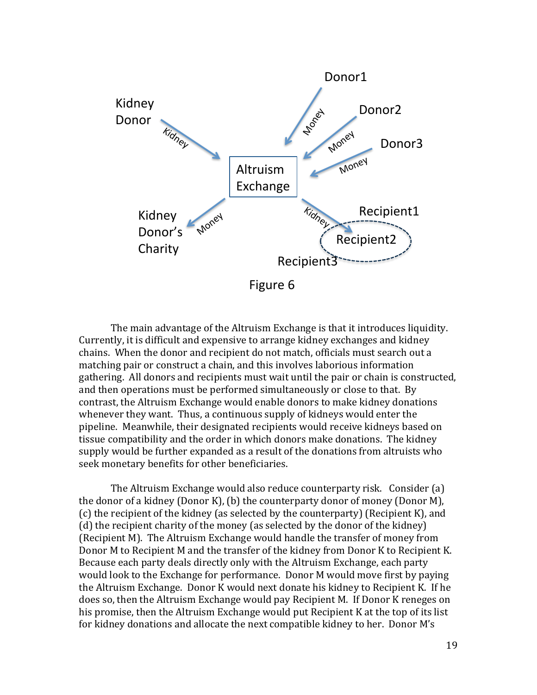

The main advantage of the Altruism Exchange is that it introduces liquidity. Currently, it is difficult and expensive to arrange kidney exchanges and kidney chains. When the donor and recipient do not match, officials must search out a matching pair or construct a chain, and this involves laborious information gathering. All donors and recipients must wait until the pair or chain is constructed, and then operations must be performed simultaneously or close to that. By contrast, the Altruism Exchange would enable donors to make kidney donations whenever they want. Thus, a continuous supply of kidneys would enter the pipeline. Meanwhile, their designated recipients would receive kidneys based on tissue compatibility and the order in which donors make donations. The kidney supply would be further expanded as a result of the donations from altruists who seek monetary benefits for other beneficiaries.

The Altruism Exchange would also reduce counterparty risk. Consider (a) the donor of a kidney (Donor K), (b) the counterparty donor of money (Donor M),  $(c)$  the recipient of the kidney (as selected by the counterparty) (Recipient K), and (d) the recipient charity of the money (as selected by the donor of the kidney) (Recipient M). The Altruism Exchange would handle the transfer of money from Donor M to Recipient M and the transfer of the kidney from Donor K to Recipient K. Because each party deals directly only with the Altruism Exchange, each party would look to the Exchange for performance. Donor M would move first by paying the Altruism Exchange. Donor K would next donate his kidney to Recipient K. If he does so, then the Altruism Exchange would pay Recipient M. If Donor K reneges on his promise, then the Altruism Exchange would put Recipient K at the top of its list for kidney donations and allocate the next compatible kidney to her. Donor M's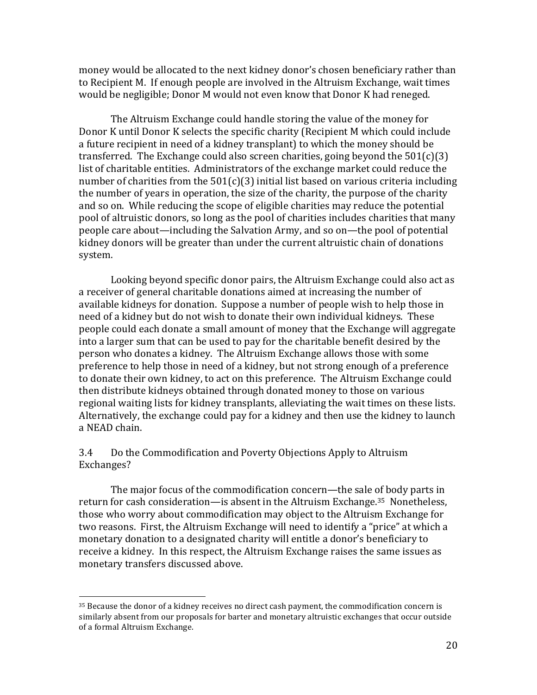money would be allocated to the next kidney donor's chosen beneficiary rather than to Recipient M. If enough people are involved in the Altruism Exchange, wait times would be negligible; Donor M would not even know that Donor K had reneged.

The Altruism Exchange could handle storing the value of the money for Donor K until Donor K selects the specific charity (Recipient M which could include a future recipient in need of a kidney transplant) to which the money should be transferred. The Exchange could also screen charities, going beyond the  $501(c)(3)$ list of charitable entities. Administrators of the exchange market could reduce the number of charities from the  $501(c)(3)$  initial list based on various criteria including the number of years in operation, the size of the charity, the purpose of the charity and so on. While reducing the scope of eligible charities may reduce the potential pool of altruistic donors, so long as the pool of charities includes charities that many people care about—including the Salvation Army, and so on—the pool of potential kidney donors will be greater than under the current altruistic chain of donations system.

Looking beyond specific donor pairs, the Altruism Exchange could also act as a receiver of general charitable donations aimed at increasing the number of available kidneys for donation. Suppose a number of people wish to help those in need of a kidney but do not wish to donate their own individual kidneys. These people could each donate a small amount of money that the Exchange will aggregate into a larger sum that can be used to pay for the charitable benefit desired by the person who donates a kidney. The Altruism Exchange allows those with some preference to help those in need of a kidney, but not strong enough of a preference to donate their own kidney, to act on this preference. The Altruism Exchange could then distribute kidneys obtained through donated money to those on various regional waiting lists for kidney transplants, alleviating the wait times on these lists. Alternatively, the exchange could pay for a kidney and then use the kidney to launch a NEAD chain.

#### 3.4 Do the Commodification and Poverty Objections Apply to Altruism Exchanges?

The major focus of the commodification concern—the sale of body parts in return for cash consideration—is absent in the Altruism Exchange.<sup>35</sup> Nonetheless, those who worry about commodification may object to the Altruism Exchange for two reasons. First, the Altruism Exchange will need to identify a "price" at which a monetary donation to a designated charity will entitle a donor's beneficiary to receive a kidney. In this respect, the Altruism Exchange raises the same issues as monetary transfers discussed above.

 $35$  Because the donor of a kidney receives no direct cash payment, the commodification concern is similarly absent from our proposals for barter and monetary altruistic exchanges that occur outside of a formal Altruism Exchange.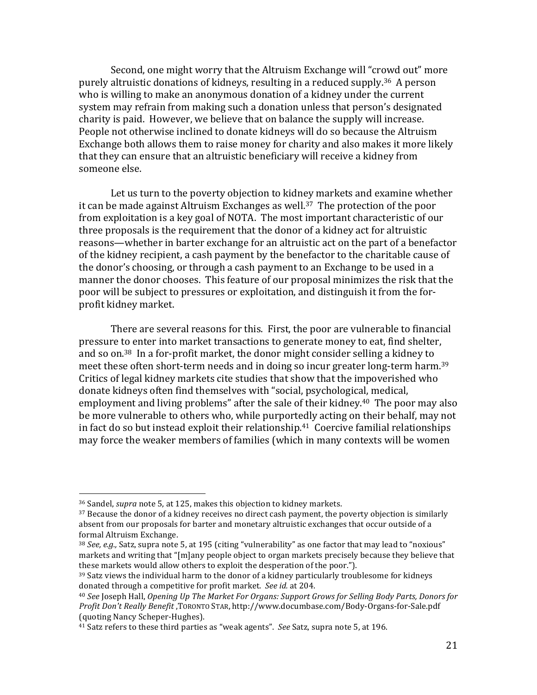Second, one might worry that the Altruism Exchange will "crowd out" more purely altruistic donations of kidneys, resulting in a reduced supply.<sup>36</sup> A person who is willing to make an anonymous donation of a kidney under the current system may refrain from making such a donation unless that person's designated charity is paid. However, we believe that on balance the supply will increase. People not otherwise inclined to donate kidneys will do so because the Altruism Exchange both allows them to raise money for charity and also makes it more likely that they can ensure that an altruistic beneficiary will receive a kidney from someone else.

Let us turn to the poverty objection to kidney markets and examine whether it can be made against Altruism Exchanges as well.<sup>37</sup> The protection of the poor from exploitation is a key goal of NOTA. The most important characteristic of our three proposals is the requirement that the donor of a kidney act for altruistic reasons—whether in barter exchange for an altruistic act on the part of a benefactor of the kidney recipient, a cash payment by the benefactor to the charitable cause of the donor's choosing, or through a cash payment to an Exchange to be used in a manner the donor chooses. This feature of our proposal minimizes the risk that the poor will be subject to pressures or exploitation, and distinguish it from the forprofit kidney market.

There are several reasons for this. First, the poor are vulnerable to financial pressure to enter into market transactions to generate money to eat, find shelter, and so on.<sup>38</sup> In a for-profit market, the donor might consider selling a kidney to meet these often short-term needs and in doing so incur greater long-term harm.<sup>39</sup> Critics of legal kidney markets cite studies that show that the impoverished who donate kidneys often find themselves with "social, psychological, medical, employment and living problems" after the sale of their kidney.<sup>40</sup> The poor may also be more vulnerable to others who, while purportedly acting on their behalf, may not in fact do so but instead exploit their relationship.<sup>41</sup> Coercive familial relationships may force the weaker members of families (which in many contexts will be women

<sup>&</sup>lt;sup>36</sup> Sandel, *supra* note 5, at 125, makes this objection to kidney markets.

 $37$  Because the donor of a kidney receives no direct cash payment, the poverty objection is similarly absent from our proposals for barter and monetary altruistic exchanges that occur outside of a formal Altruism Exchange.

<sup>38</sup> *See, e.g.*, Satz, supra note 5, at 195 (citing "vulnerability" as one factor that may lead to "noxious" markets and writing that "[m]any people object to organ markets precisely because they believe that these markets would allow others to exploit the desperation of the poor.").

 $39$  Satz views the individual harm to the donor of a kidney particularly troublesome for kidneys donated through a competitive for profit market. See id. at 204.

<sup>&</sup>lt;sup>40</sup> See Joseph Hall, *Opening Up The Market For Organs: Support Grows for Selling Body Parts, Donors for Profit Don't Really Benefit* ,TORONTO STAR, http://www.documbase.com/Body-Organs-for-Sale.pdf (quoting Nancy Scheper-Hughes). 

<sup>&</sup>lt;sup>41</sup> Satz refers to these third parties as "weak agents". See Satz, supra note 5, at 196.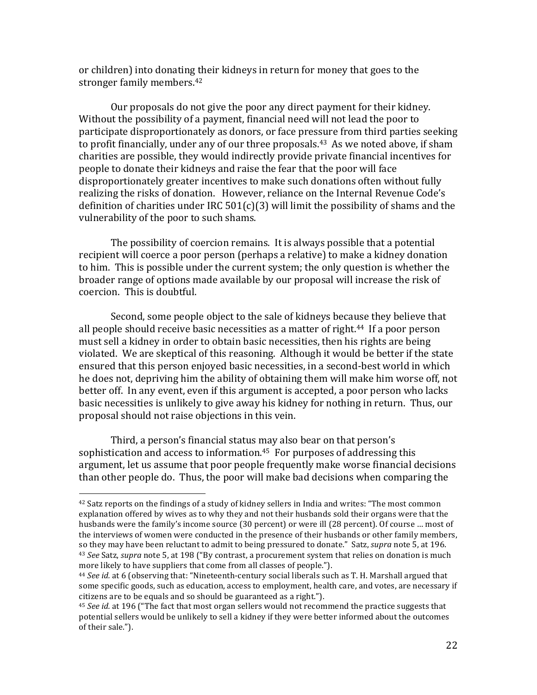or children) into donating their kidneys in return for money that goes to the stronger family members.<sup>42</sup>

Our proposals do not give the poor any direct payment for their kidney. Without the possibility of a payment, financial need will not lead the poor to participate disproportionately as donors, or face pressure from third parties seeking to profit financially, under any of our three proposals.<sup>43</sup> As we noted above, if sham charities are possible, they would indirectly provide private financial incentives for people to donate their kidneys and raise the fear that the poor will face disproportionately greater incentives to make such donations often without fully realizing the risks of donation. However, reliance on the Internal Revenue Code's definition of charities under IRC  $501(c)(3)$  will limit the possibility of shams and the vulnerability of the poor to such shams.

The possibility of coercion remains. It is always possible that a potential recipient will coerce a poor person (perhaps a relative) to make a kidney donation to him. This is possible under the current system; the only question is whether the broader range of options made available by our proposal will increase the risk of coercion. This is doubtful.

Second, some people object to the sale of kidneys because they believe that all people should receive basic necessities as a matter of right.<sup>44</sup> If a poor person must sell a kidney in order to obtain basic necessities, then his rights are being violated. We are skeptical of this reasoning. Although it would be better if the state ensured that this person enjoyed basic necessities, in a second-best world in which he does not, depriving him the ability of obtaining them will make him worse off, not better off. In any event, even if this argument is accepted, a poor person who lacks basic necessities is unlikely to give away his kidney for nothing in return. Thus, our proposal should not raise objections in this vein.

Third, a person's financial status may also bear on that person's sophistication and access to information.<sup>45</sup> For purposes of addressing this argument, let us assume that poor people frequently make worse financial decisions than other people do. Thus, the poor will make bad decisions when comparing the

 $42$  Satz reports on the findings of a study of kidney sellers in India and writes: "The most common explanation offered by wives as to why they and not their husbands sold their organs were that the husbands were the family's income source (30 percent) or were ill (28 percent). Of course ... most of the interviews of women were conducted in the presence of their husbands or other family members, so they may have been reluctant to admit to being pressured to donate." Satz, *supra* note 5, at 196. <sup>43</sup> *See* Satz, *supra* note 5, at 198 ("By contrast, a procurement system that relies on donation is much more likely to have suppliers that come from all classes of people.").

<sup>&</sup>lt;sup>44</sup> *See id.* at 6 (observing that: "Nineteenth-century social liberals such as T. H. Marshall argued that some specific goods, such as education, access to employment, health care, and votes, are necessary if citizens are to be equals and so should be guaranteed as a right.").

<sup>&</sup>lt;sup>45</sup> *See id.* at 196 ("The fact that most organ sellers would not recommend the practice suggests that potential sellers would be unlikely to sell a kidney if they were better informed about the outcomes of their sale.").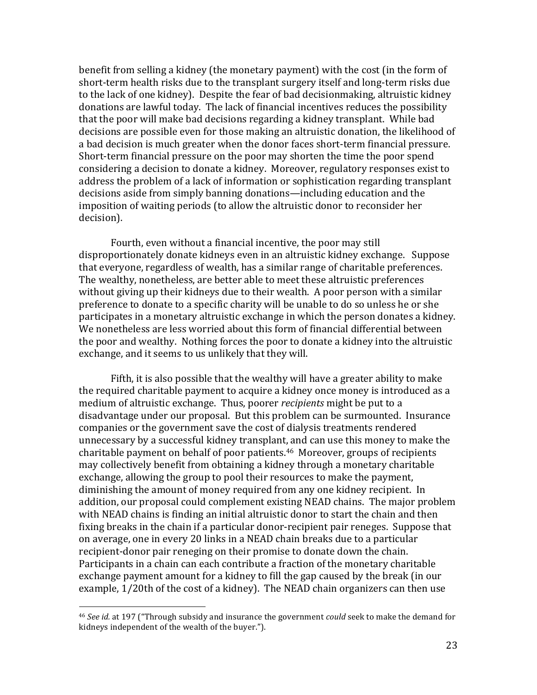benefit from selling a kidney (the monetary payment) with the cost (in the form of short-term health risks due to the transplant surgery itself and long-term risks due to the lack of one kidney). Despite the fear of bad decisionmaking, altruistic kidney donations are lawful today. The lack of financial incentives reduces the possibility that the poor will make bad decisions regarding a kidney transplant. While bad decisions are possible even for those making an altruistic donation, the likelihood of a bad decision is much greater when the donor faces short-term financial pressure. Short-term financial pressure on the poor may shorten the time the poor spend considering a decision to donate a kidney. Moreover, regulatory responses exist to address the problem of a lack of information or sophistication regarding transplant decisions aside from simply banning donations—including education and the imposition of waiting periods (to allow the altruistic donor to reconsider her decision).

Fourth, even without a financial incentive, the poor may still disproportionately donate kidneys even in an altruistic kidney exchange. Suppose that everyone, regardless of wealth, has a similar range of charitable preferences. The wealthy, nonetheless, are better able to meet these altruistic preferences without giving up their kidneys due to their wealth. A poor person with a similar preference to donate to a specific charity will be unable to do so unless he or she participates in a monetary altruistic exchange in which the person donates a kidney. We nonetheless are less worried about this form of financial differential between the poor and wealthy. Nothing forces the poor to donate a kidney into the altruistic exchange, and it seems to us unlikely that they will.

Fifth, it is also possible that the wealthy will have a greater ability to make the required charitable payment to acquire a kidney once money is introduced as a medium of altruistic exchange. Thus, poorer *recipients* might be put to a disadvantage under our proposal. But this problem can be surmounted. Insurance companies or the government save the cost of dialysis treatments rendered unnecessary by a successful kidney transplant, and can use this money to make the charitable payment on behalf of poor patients.<sup>46</sup> Moreover, groups of recipients may collectively benefit from obtaining a kidney through a monetary charitable exchange, allowing the group to pool their resources to make the payment, diminishing the amount of money required from any one kidney recipient. In addition, our proposal could complement existing NEAD chains. The major problem with NEAD chains is finding an initial altruistic donor to start the chain and then fixing breaks in the chain if a particular donor-recipient pair reneges. Suppose that on average, one in every 20 links in a NEAD chain breaks due to a particular recipient-donor pair reneging on their promise to donate down the chain. Participants in a chain can each contribute a fraction of the monetary charitable exchange payment amount for a kidney to fill the gap caused by the break (in our example, 1/20th of the cost of a kidney). The NEAD chain organizers can then use

<sup>&</sup>lt;sup>46</sup> *See id.* at 197 ("Through subsidy and insurance the government *could* seek to make the demand for kidneys independent of the wealth of the buyer.").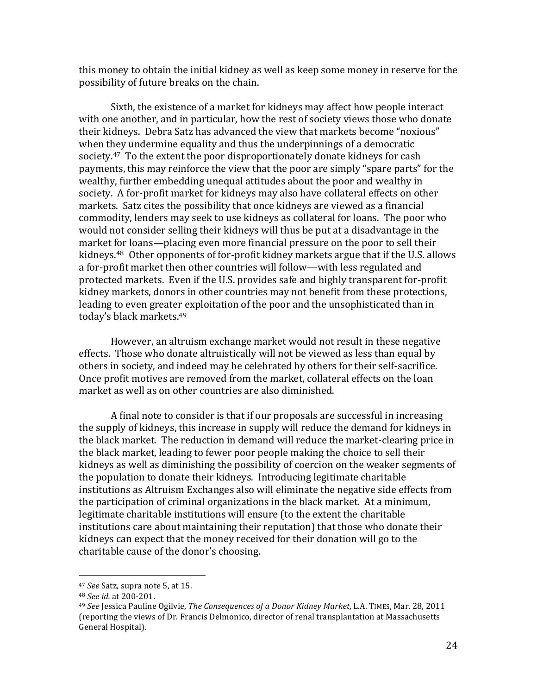this money to obtain the initial kidney as well as keep some money in reserve for the possibility of future breaks on the chain.

Sixth, the existence of a market for kidneys may affect how people interact with one another, and in particular, how the rest of society views those who donate their kidneys. Debra Satz has advanced the view that markets become "noxious" when they undermine equality and thus the underpinnings of a democratic society.<sup>47</sup> To the extent the poor disproportionately donate kidneys for cash payments, this may reinforce the view that the poor are simply "spare parts" for the wealthy, further embedding unequal attitudes about the poor and wealthy in society. A for-profit market for kidneys may also have collateral effects on other markets. Satz cites the possibility that once kidneys are viewed as a financial commodity, lenders may seek to use kidneys as collateral for loans. The poor who would not consider selling their kidneys will thus be put at a disadvantage in the market for loans—placing even more financial pressure on the poor to sell their kidneys. $48$  Other opponents of for-profit kidney markets argue that if the U.S. allows a for-profit market then other countries will follow—with less regulated and protected markets. Even if the U.S. provides safe and highly transparent for-profit kidney markets, donors in other countries may not benefit from these protections, leading to even greater exploitation of the poor and the unsophisticated than in today's black markets.<sup>49</sup>

However, an altruism exchange market would not result in these negative effects. Those who donate altruistically will not be viewed as less than equal by others in society, and indeed may be celebrated by others for their self-sacrifice. Once profit motives are removed from the market, collateral effects on the loan market as well as on other countries are also diminished.

A final note to consider is that if our proposals are successful in increasing the supply of kidneys, this increase in supply will reduce the demand for kidneys in the black market. The reduction in demand will reduce the market-clearing price in the black market, leading to fewer poor people making the choice to sell their kidneys as well as diminishing the possibility of coercion on the weaker segments of the population to donate their kidneys. Introducing legitimate charitable institutions as Altruism Exchanges also will eliminate the negative side effects from the participation of criminal organizations in the black market. At a minimum, legitimate charitable institutions will ensure (to the extent the charitable institutions care about maintaining their reputation) that those who donate their kidneys can expect that the money received for their donation will go to the charitable cause of the donor's choosing.

<sup>&</sup>lt;sup>47</sup> *See* Satz, supra note 5, at 15.

<sup>48</sup> *See id.* at 200-201.

<sup>&</sup>lt;sup>49</sup> See Jessica Pauline Ogilvie, *The Consequences of a Donor Kidney Market*, L.A. TIMES, Mar. 28, 2011 (reporting the views of Dr. Francis Delmonico, director of renal transplantation at Massachusetts General Hospital).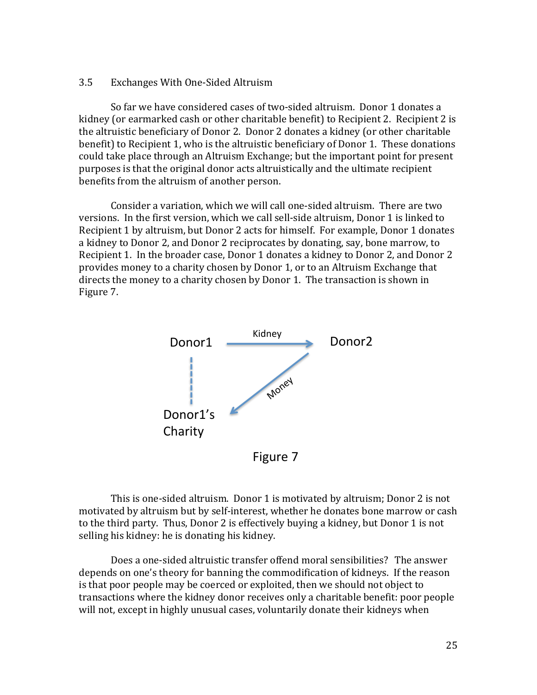#### 3.5 Exchanges With One-Sided Altruism

So far we have considered cases of two-sided altruism. Donor 1 donates a kidney (or earmarked cash or other charitable benefit) to Recipient 2. Recipient 2 is the altruistic beneficiary of Donor 2. Donor 2 donates a kidney (or other charitable benefit) to Recipient 1, who is the altruistic beneficiary of Donor 1. These donations could take place through an Altruism Exchange; but the important point for present purposes is that the original donor acts altruistically and the ultimate recipient benefits from the altruism of another person.

Consider a variation, which we will call one-sided altruism. There are two versions. In the first version, which we call sell-side altruism, Donor 1 is linked to Recipient 1 by altruism, but Donor 2 acts for himself. For example, Donor 1 donates a kidney to Donor 2, and Donor 2 reciprocates by donating, say, bone marrow, to Recipient 1. In the broader case, Donor 1 donates a kidney to Donor 2, and Donor 2 provides money to a charity chosen by Donor 1, or to an Altruism Exchange that directs the money to a charity chosen by Donor 1. The transaction is shown in Figure 7.



Figure 7

This is one-sided altruism. Donor 1 is motivated by altruism; Donor 2 is not motivated by altruism but by self-interest, whether he donates bone marrow or cash to the third party. Thus, Donor 2 is effectively buying a kidney, but Donor 1 is not selling his kidney: he is donating his kidney.

Does a one-sided altruistic transfer offend moral sensibilities? The answer depends on one's theory for banning the commodification of kidneys. If the reason is that poor people may be coerced or exploited, then we should not object to transactions where the kidney donor receives only a charitable benefit: poor people will not, except in highly unusual cases, voluntarily donate their kidneys when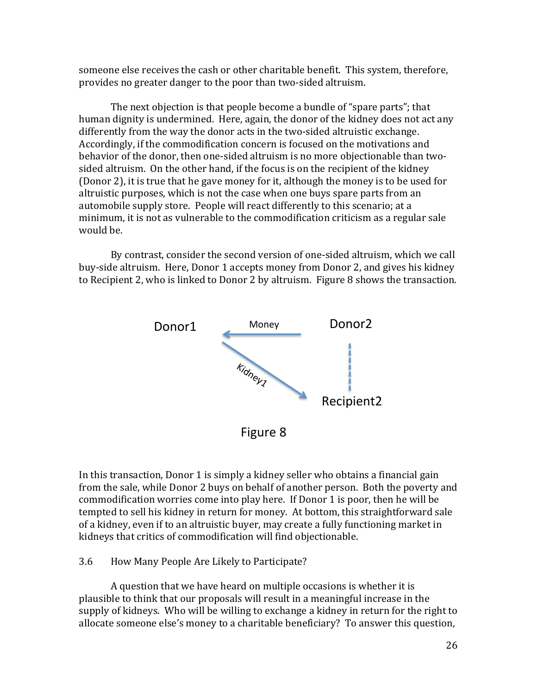someone else receives the cash or other charitable benefit. This system, therefore, provides no greater danger to the poor than two-sided altruism.

The next objection is that people become a bundle of "spare parts"; that human dignity is undermined. Here, again, the donor of the kidney does not act any differently from the way the donor acts in the two-sided altruistic exchange. Accordingly, if the commodification concern is focused on the motivations and behavior of the donor, then one-sided altruism is no more objectionable than twosided altruism. On the other hand, if the focus is on the recipient of the kidney (Donor 2), it is true that he gave money for it, although the money is to be used for altruistic purposes, which is not the case when one buys spare parts from an automobile supply store. People will react differently to this scenario; at a minimum, it is not as vulnerable to the commodification criticism as a regular sale would be.

By contrast, consider the second version of one-sided altruism, which we call buy-side altruism. Here, Donor 1 accepts money from Donor 2, and gives his kidney to Recipient 2, who is linked to Donor 2 by altruism. Figure 8 shows the transaction.



In this transaction, Donor 1 is simply a kidney seller who obtains a financial gain from the sale, while Donor 2 buys on behalf of another person. Both the poverty and commodification worries come into play here. If Donor 1 is poor, then he will be tempted to sell his kidney in return for money. At bottom, this straightforward sale of a kidney, even if to an altruistic buyer, may create a fully functioning market in kidneys that critics of commodification will find objectionable.

#### 3.6 How Many People Are Likely to Participate?

A question that we have heard on multiple occasions is whether it is plausible to think that our proposals will result in a meaningful increase in the supply of kidneys. Who will be willing to exchange a kidney in return for the right to allocate someone else's money to a charitable beneficiary? To answer this question,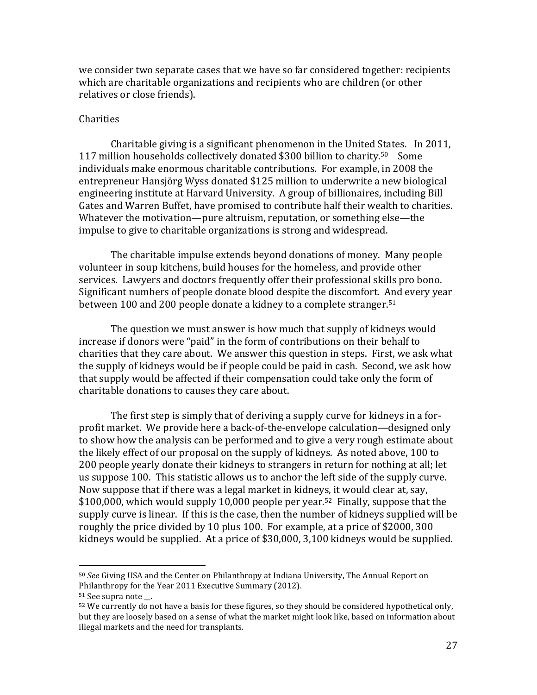we consider two separate cases that we have so far considered together: recipients which are charitable organizations and recipients who are children (or other relatives or close friends).

#### Charities

Charitable giving is a significant phenomenon in the United States. In 2011, 117 million households collectively donated \$300 billion to charity.<sup>50</sup> Some individuals make enormous charitable contributions. For example, in 2008 the entrepreneur Hansjörg Wyss donated \$125 million to underwrite a new biological engineering institute at Harvard University. A group of billionaires, including Bill Gates and Warren Buffet, have promised to contribute half their wealth to charities. Whatever the motivation—pure altruism, reputation, or something else—the impulse to give to charitable organizations is strong and widespread.

The charitable impulse extends beyond donations of money. Many people volunteer in soup kitchens, build houses for the homeless, and provide other services. Lawyers and doctors frequently offer their professional skills pro bono. Significant numbers of people donate blood despite the discomfort. And every year between 100 and 200 people donate a kidney to a complete stranger.<sup>51</sup>

The question we must answer is how much that supply of kidneys would increase if donors were "paid" in the form of contributions on their behalf to charities that they care about. We answer this question in steps. First, we ask what the supply of kidneys would be if people could be paid in cash. Second, we ask how that supply would be affected if their compensation could take only the form of charitable donations to causes they care about.

The first step is simply that of deriving a supply curve for kidneys in a forprofit market. We provide here a back-of-the-envelope calculation—designed only to show how the analysis can be performed and to give a very rough estimate about the likely effect of our proposal on the supply of kidneys. As noted above, 100 to 200 people yearly donate their kidneys to strangers in return for nothing at all; let us suppose 100. This statistic allows us to anchor the left side of the supply curve. Now suppose that if there was a legal market in kidneys, it would clear at, say, \$100,000, which would supply 10,000 people per year.<sup>52</sup> Finally, suppose that the supply curve is linear. If this is the case, then the number of kidneys supplied will be roughly the price divided by 10 plus 100. For example, at a price of \$2000, 300 kidneys would be supplied. At a price of \$30,000, 3,100 kidneys would be supplied.

<sup>50</sup> *See* Giving USA and the Center on Philanthropy at Indiana University, The Annual Report on Philanthropy for the Year 2011 Executive Summary (2012).

<sup>&</sup>lt;sup>51</sup> See supra note .

 $52$  We currently do not have a basis for these figures, so they should be considered hypothetical only, but they are loosely based on a sense of what the market might look like, based on information about illegal markets and the need for transplants.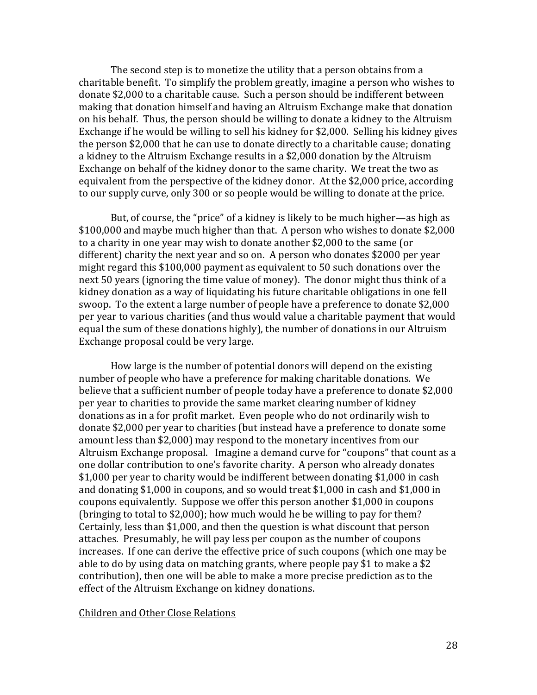The second step is to monetize the utility that a person obtains from a charitable benefit. To simplify the problem greatly, imagine a person who wishes to donate \$2,000 to a charitable cause. Such a person should be indifferent between making that donation himself and having an Altruism Exchange make that donation on his behalf. Thus, the person should be willing to donate a kidney to the Altruism Exchange if he would be willing to sell his kidney for \$2,000. Selling his kidney gives the person \$2,000 that he can use to donate directly to a charitable cause; donating a kidney to the Altruism Exchange results in a \$2,000 donation by the Altruism Exchange on behalf of the kidney donor to the same charity. We treat the two as equivalent from the perspective of the kidney donor. At the \$2,000 price, according to our supply curve, only 300 or so people would be willing to donate at the price.

But, of course, the "price" of a kidney is likely to be much higher—as high as \$100,000 and maybe much higher than that. A person who wishes to donate \$2,000 to a charity in one year may wish to donate another \$2,000 to the same (or different) charity the next year and so on. A person who donates \$2000 per year might regard this  $$100,000$  payment as equivalent to 50 such donations over the next 50 years (ignoring the time value of money). The donor might thus think of a kidney donation as a way of liquidating his future charitable obligations in one fell swoop. To the extent a large number of people have a preference to donate \$2,000 per year to various charities (and thus would value a charitable payment that would equal the sum of these donations highly), the number of donations in our Altruism Exchange proposal could be very large.

How large is the number of potential donors will depend on the existing number of people who have a preference for making charitable donations. We believe that a sufficient number of people today have a preference to donate \$2,000 per year to charities to provide the same market clearing number of kidney donations as in a for profit market. Even people who do not ordinarily wish to donate \$2,000 per year to charities (but instead have a preference to donate some amount less than \$2,000) may respond to the monetary incentives from our Altruism Exchange proposal. Imagine a demand curve for "coupons" that count as a one dollar contribution to one's favorite charity. A person who already donates \$1,000 per year to charity would be indifferent between donating \$1,000 in cash and donating \$1,000 in coupons, and so would treat \$1,000 in cash and \$1,000 in coupons equivalently. Suppose we offer this person another \$1,000 in coupons (bringing to total to  $$2,000$ ); how much would he be willing to pay for them? Certainly, less than \$1,000, and then the question is what discount that person attaches. Presumably, he will pay less per coupon as the number of coupons increases. If one can derive the effective price of such coupons (which one may be able to do by using data on matching grants, where people pay \$1 to make a \$2 contribution), then one will be able to make a more precise prediction as to the effect of the Altruism Exchange on kidney donations.

#### Children and Other Close Relations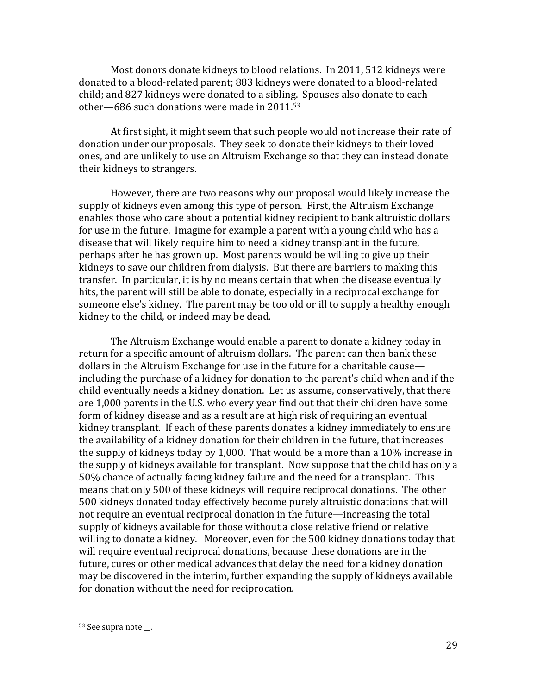Most donors donate kidneys to blood relations. In 2011, 512 kidneys were donated to a blood-related parent; 883 kidneys were donated to a blood-related child; and 827 kidneys were donated to a sibling. Spouses also donate to each other—686 such donations were made in  $2011.53$ 

At first sight, it might seem that such people would not increase their rate of donation under our proposals. They seek to donate their kidneys to their loved ones, and are unlikely to use an Altruism Exchange so that they can instead donate their kidneys to strangers.

However, there are two reasons why our proposal would likely increase the supply of kidneys even among this type of person. First, the Altruism Exchange enables those who care about a potential kidney recipient to bank altruistic dollars for use in the future. Imagine for example a parent with a young child who has a disease that will likely require him to need a kidney transplant in the future, perhaps after he has grown up. Most parents would be willing to give up their kidneys to save our children from dialysis. But there are barriers to making this transfer. In particular, it is by no means certain that when the disease eventually hits, the parent will still be able to donate, especially in a reciprocal exchange for someone else's kidney. The parent may be too old or ill to supply a healthy enough kidney to the child, or indeed may be dead.

The Altruism Exchange would enable a parent to donate a kidney today in return for a specific amount of altruism dollars. The parent can then bank these dollars in the Altruism Exchange for use in the future for a charitable cause including the purchase of a kidney for donation to the parent's child when and if the child eventually needs a kidney donation. Let us assume, conservatively, that there are 1,000 parents in the U.S. who every year find out that their children have some form of kidney disease and as a result are at high risk of requiring an eventual kidney transplant. If each of these parents donates a kidney immediately to ensure the availability of a kidney donation for their children in the future, that increases the supply of kidneys today by 1,000. That would be a more than a 10% increase in the supply of kidneys available for transplant. Now suppose that the child has only a 50% chance of actually facing kidney failure and the need for a transplant. This means that only 500 of these kidneys will require reciprocal donations. The other 500 kidneys donated today effectively become purely altruistic donations that will not require an eventual reciprocal donation in the future—increasing the total supply of kidneys available for those without a close relative friend or relative willing to donate a kidney. Moreover, even for the 500 kidney donations today that will require eventual reciprocal donations, because these donations are in the future, cures or other medical advances that delay the need for a kidney donation may be discovered in the interim, further expanding the supply of kidneys available for donation without the need for reciprocation.

<sup>53</sup> See supra note \_\_.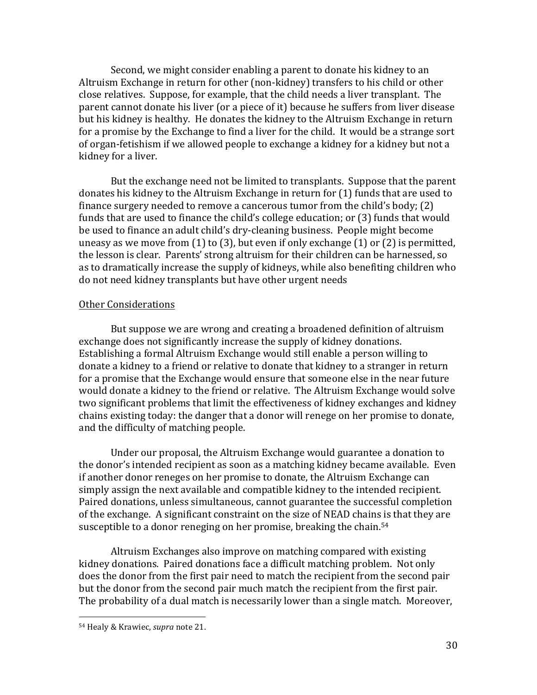Second, we might consider enabling a parent to donate his kidney to an Altruism Exchange in return for other (non-kidney) transfers to his child or other close relatives. Suppose, for example, that the child needs a liver transplant. The parent cannot donate his liver (or a piece of it) because he suffers from liver disease but his kidney is healthy. He donates the kidney to the Altruism Exchange in return for a promise by the Exchange to find a liver for the child. It would be a strange sort of organ-fetishism if we allowed people to exchange a kidney for a kidney but not a kidney for a liver.

But the exchange need not be limited to transplants. Suppose that the parent donates his kidney to the Altruism Exchange in return for (1) funds that are used to finance surgery needed to remove a cancerous tumor from the child's body;  $(2)$ funds that are used to finance the child's college education; or (3) funds that would be used to finance an adult child's dry-cleaning business. People might become uneasy as we move from  $(1)$  to  $(3)$ , but even if only exchange  $(1)$  or  $(2)$  is permitted, the lesson is clear. Parents' strong altruism for their children can be harnessed, so as to dramatically increase the supply of kidneys, while also benefiting children who do not need kidney transplants but have other urgent needs

#### **Other Considerations**

But suppose we are wrong and creating a broadened definition of altruism exchange does not significantly increase the supply of kidney donations. Establishing a formal Altruism Exchange would still enable a person willing to donate a kidney to a friend or relative to donate that kidney to a stranger in return for a promise that the Exchange would ensure that someone else in the near future would donate a kidney to the friend or relative. The Altruism Exchange would solve two significant problems that limit the effectiveness of kidney exchanges and kidney chains existing today: the danger that a donor will renege on her promise to donate, and the difficulty of matching people.

Under our proposal, the Altruism Exchange would guarantee a donation to the donor's intended recipient as soon as a matching kidney became available. Even if another donor reneges on her promise to donate, the Altruism Exchange can simply assign the next available and compatible kidney to the intended recipient. Paired donations, unless simultaneous, cannot guarantee the successful completion of the exchange. A significant constraint on the size of NEAD chains is that they are susceptible to a donor reneging on her promise, breaking the chain.<sup>54</sup>

Altruism Exchanges also improve on matching compared with existing kidney donations. Paired donations face a difficult matching problem. Not only does the donor from the first pair need to match the recipient from the second pair but the donor from the second pair much match the recipient from the first pair. The probability of a dual match is necessarily lower than a single match. Moreover,

 <sup>54</sup> Healy & Krawiec, *supra* note 21.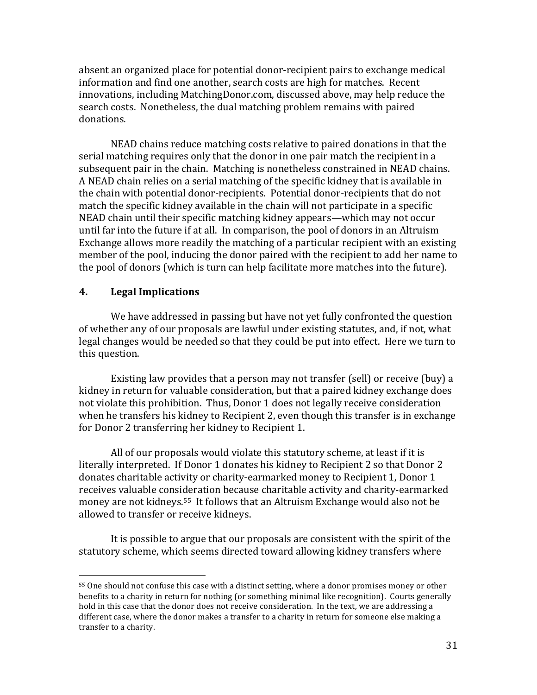absent an organized place for potential donor-recipient pairs to exchange medical information and find one another, search costs are high for matches. Recent innovations, including MatchingDonor.com, discussed above, may help reduce the search costs. Nonetheless, the dual matching problem remains with paired donations.

NEAD chains reduce matching costs relative to paired donations in that the serial matching requires only that the donor in one pair match the recipient in a subsequent pair in the chain. Matching is nonetheless constrained in NEAD chains. A NEAD chain relies on a serial matching of the specific kidney that is available in the chain with potential donor-recipients. Potential donor-recipients that do not match the specific kidney available in the chain will not participate in a specific NEAD chain until their specific matching kidney appears—which may not occur until far into the future if at all. In comparison, the pool of donors in an Altruism Exchange allows more readily the matching of a particular recipient with an existing member of the pool, inducing the donor paired with the recipient to add her name to the pool of donors (which is turn can help facilitate more matches into the future).

#### **4. Legal Implications**

 

We have addressed in passing but have not yet fully confronted the question of whether any of our proposals are lawful under existing statutes, and, if not, what legal changes would be needed so that they could be put into effect. Here we turn to this question.

Existing law provides that a person may not transfer (sell) or receive (buy) a kidney in return for valuable consideration, but that a paired kidney exchange does not violate this prohibition. Thus, Donor 1 does not legally receive consideration when he transfers his kidney to Recipient 2, even though this transfer is in exchange for Donor 2 transferring her kidney to Recipient 1.

All of our proposals would violate this statutory scheme, at least if it is literally interpreted. If Donor 1 donates his kidney to Recipient 2 so that Donor 2 donates charitable activity or charity-earmarked money to Recipient 1, Donor 1 receives valuable consideration because charitable activity and charity-earmarked money are not kidneys.<sup>55</sup> It follows that an Altruism Exchange would also not be allowed to transfer or receive kidneys.

It is possible to argue that our proposals are consistent with the spirit of the statutory scheme, which seems directed toward allowing kidney transfers where

<sup>55</sup> One should not confuse this case with a distinct setting, where a donor promises money or other benefits to a charity in return for nothing (or something minimal like recognition). Courts generally hold in this case that the donor does not receive consideration. In the text, we are addressing a different case, where the donor makes a transfer to a charity in return for someone else making a transfer to a charity.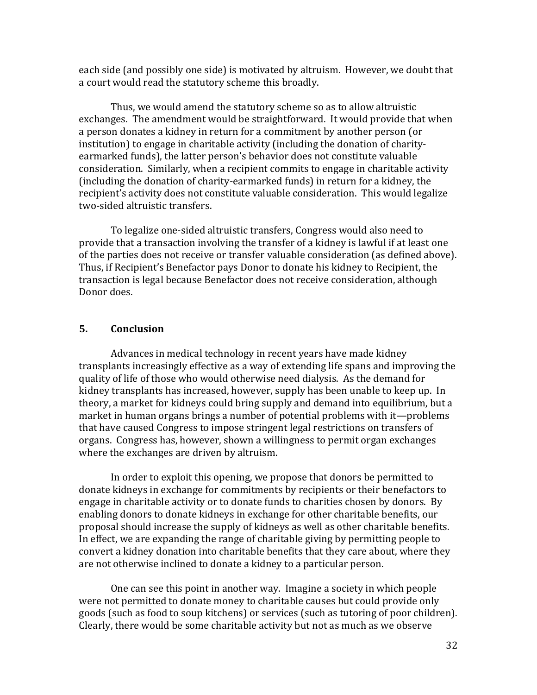each side (and possibly one side) is motivated by altruism. However, we doubt that a court would read the statutory scheme this broadly.

Thus, we would amend the statutory scheme so as to allow altruistic exchanges. The amendment would be straightforward. It would provide that when a person donates a kidney in return for a commitment by another person (or institution) to engage in charitable activity (including the donation of charityearmarked funds), the latter person's behavior does not constitute valuable consideration. Similarly, when a recipient commits to engage in charitable activity (including the donation of charity-earmarked funds) in return for a kidney, the recipient's activity does not constitute valuable consideration. This would legalize two-sided altruistic transfers.

To legalize one-sided altruistic transfers, Congress would also need to provide that a transaction involving the transfer of a kidney is lawful if at least one of the parties does not receive or transfer valuable consideration (as defined above). Thus, if Recipient's Benefactor pays Donor to donate his kidney to Recipient, the transaction is legal because Benefactor does not receive consideration, although Donor does.

#### **5. Conclusion**

Advances in medical technology in recent years have made kidney transplants increasingly effective as a way of extending life spans and improving the quality of life of those who would otherwise need dialysis. As the demand for kidney transplants has increased, however, supply has been unable to keep up. In theory, a market for kidneys could bring supply and demand into equilibrium, but a market in human organs brings a number of potential problems with it—problems that have caused Congress to impose stringent legal restrictions on transfers of organs. Congress has, however, shown a willingness to permit organ exchanges where the exchanges are driven by altruism.

In order to exploit this opening, we propose that donors be permitted to donate kidneys in exchange for commitments by recipients or their benefactors to engage in charitable activity or to donate funds to charities chosen by donors. By enabling donors to donate kidneys in exchange for other charitable benefits, our proposal should increase the supply of kidneys as well as other charitable benefits. In effect, we are expanding the range of charitable giving by permitting people to convert a kidney donation into charitable benefits that they care about, where they are not otherwise inclined to donate a kidney to a particular person.

One can see this point in another way. Imagine a society in which people were not permitted to donate money to charitable causes but could provide only goods (such as food to soup kitchens) or services (such as tutoring of poor children). Clearly, there would be some charitable activity but not as much as we observe